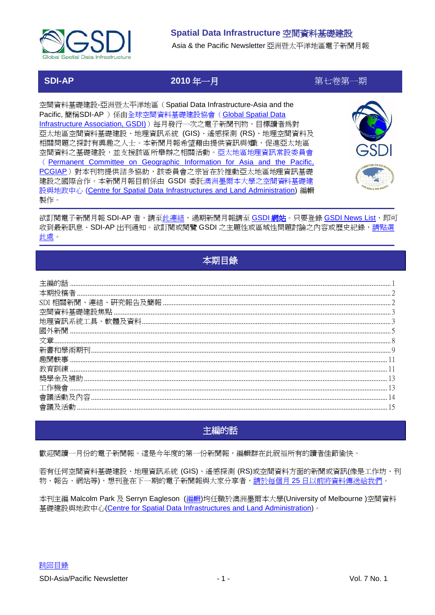

Asia & the Pacific Newsletter 亞洲暨太平洋地區電子新聞月報

# **SDI-AP**

2010年一月

第七卷第一期

空間資料基礎建設-亞洲暨太平洋地區 (Spatial Data Infrastructure-Asia and the Pacific, 簡稱SDI-AP ) 係由全球空間資料基礎建設協會 (Global Spatial Data Infrastructure Association, GSDI) 每月發行一次之電子新聞刊物, 目標讀者爲對 亞太地區空間資料基礎建設、地理資訊系統 (GIS)、遙感探測 (RS)、地理空間資料及 相關問題之探討有興趣之人士。本新聞月報希望藉由提供資訊與矯,促進亞太地區 空間資料之基礎建設,並支援該區所舉辦之相關活動。亞太地區地理資訊常設委員會 (Permanent Committee on Geographic Information for Asia and the Pacific, PCGIAP)對本刊物提供諸多協助,該委員會之宗旨在於推動亞太地區地理資訊基礎 建設之國際合作。本新聞月報目前係由 GSDI 委託澳洲墨爾本大學之空間資料基礎建 設與地政中心 (Centre for Spatial Data Infrastructures and Land Administration) 編輯 製作。



欲訂閱電子新聞月報 SDI-AP 者,請至此連結,過期新聞月報請至 GSDI 網站。只要登錄 GSDI News List,即可 收到最新訊息、SDI-AP 出刊通知。欲訂閱或閱覽 GSDI 之主題性或區域性問題討論之內容或歷史紀錄,請點選 此處。

# 本期目錄

<span id="page-0-0"></span>

| 相關新聞 |  |
|------|--|
|      |  |
|      |  |
|      |  |
|      |  |
|      |  |
|      |  |
|      |  |
|      |  |
|      |  |
|      |  |
|      |  |

# 主編的話

<span id="page-0-1"></span>歡迎閱讀一月份的電子新聞報。這是今年度的第一份新聞報,編輯群在此祝福所有的讀者佳節愉快。

若有任何空間資料基礎建設、地理資訊系統 (GIS)、遙感探測 (RS)或空間資料方面的新聞或資訊(像是工作坊、刊 物、報告、網站等),想刊登在下一期的電子新聞報與大家分享者,請於每個月25日以前將資料傳送給我們。

本刊主編 Malcolm Park 及 Serryn Eagleson (編輯)均任職於澳洲墨爾本大學(University of Melbourne)空間資料 基礎建設與地政中心(Centre for Spatial Data Infrastructures and Land Administration)。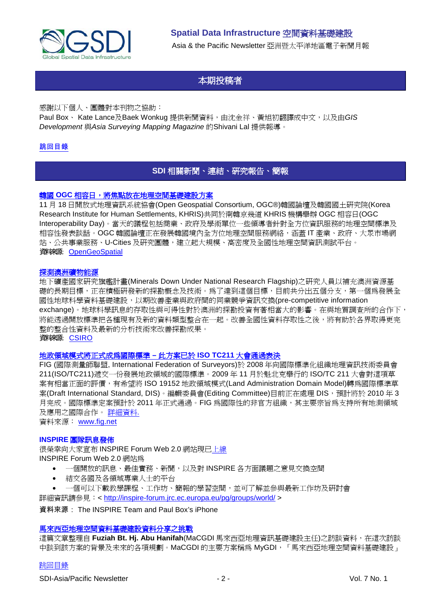

# 本期投稿者

<span id="page-1-0"></span>感謝以下個人、團體對本刊物之協助:

Paul Box、 Kate Lance及Baek Wonkug 提供新聞資料,由沈金祥、黃旭初翻譯成中文,以及由GIS *Development* 與*Asia Surveying Mapping Magazine* 的Shivani Lal 提供報導。

### <span id="page-1-1"></span>[跳回目錄](#page-0-0)

### **SDI** 相關新聞、連結、研究報告、簡報

### 韓國 **OGC** [相容日,將焦點放在地理空間基礎建設方案](http://www.opengeospatial.org/pressroom/pressreleases/1103)

11 月 18 日開放式地理資訊系統協會(Open Geospatial Consortium, OGC®)韓國論壇及韓國國土研究院(Korea Research Institute for Human Settlements, KHRIS)共同於南韓京幾道 KHRIS 機構舉辦 OGC 相容日(OGC Interoperability Day)。當天的議程包括商業、政府及學術單位一些領導者針對全方位資訊服務的地理空間標準及 相容性發表談話。OGC 韓國論壇正在發展韓國境內全方位地理空間服務網絡,涵蓋 IT 產業、政府、大眾市場網 站、公共事業服務、U-Cities 及研究團體,建立起大規模、高密度及全國性地理空間資訊測試平台。 資料來源: [OpenGeoSpatial](http://www.opengeospatial.org/pressroom/pressreleases/1103)

#### [探測澳洲礦物能源](http://www.csiro.au/science/Discovering-mineral-resources.html)

地下礦產國家研究旗艦計畫(Minerals Down Under National Research Flagship)之研究人員以補充澳洲資源基 礎的長期目標,正在積極研發新的探勘概念及技術。為了達到這個目標,目前共分出五個分支,第一個為發展全 國性地球科學資料基礎建設,以期改善產業與政府間的同業競爭資訊交換(pre-competitive information exchange)。地球科學訊息的存取性與可得性對於澳洲的探勘投資有著相當大的影響。在與地質調查所的合作下, 將能透過開放標準把各種現有及新的資料類型整合在一起。改善全國性資料存取性之後,將有助於各界取得更完 整的整合性資料及最新的分析技術來改善探勘成果。 資料來源: [CSIRO](http://www.csiro.au/science/Discovering-mineral-resources.html)

#### [地政領域模式將正式成為國際標準](http://www.fig.net/news/news_2009/canada_november_2009.htm) **–** 此方案已於 **ISO TC211** 大會通過表決

FIG (國際測量師聯盟, International Federation of Surveyors)於 2008 年向國際標準化組織地理資訊技術委員會 211(ISO/TC211)遞交一份發展地政領域的國際標準。2009 年 11 月於魁北克舉行的 ISO/TC 211 大會對這項草 案有相當正面的評價,有希望將 ISO 19152 地政領域模式(Land Administration Domain Model)轉為國際標準草 案(Draft International Standard, DIS)。編輯委員會(Editing Committee)目前正在處理 DIS,預計將於 2010 年 3 月完成。國際標準定案預計於 2011 年正式通過。FIG 為國際性的非官方組織,其主要宗旨為支持所有地測領域 及應用之國際合作。 [詳細資料](http://www.fig.net/news/news_2009/canada_november_2009.htm).

資料來源: www.fig.net

#### **INSPIRE** 團隊訊息發佈

很榮幸向大家宣布 INSPIRE Forum Web 2.0 網站現[已上線](http://inspire-forum.jrc.ec.europa.eu/) INSPIRE Forum Web 2.0 網站為

- 一個開放的訊息、最佳實務、新聞,以及對 INSPIRE 各方面議題之意見交換空間
- 結交各國及各領域專業人士的平台
- 一個可以下載教學課程、工作坊、簡報的學習空間,並可了解並參與最新工作坊及研討會

詳細資訊請參見:<<http://inspire-forum.jrc.ec.europa.eu/pg/groups/world/> >

資料來源: The INSPIRE Team and Paul Box's iPhone

#### [馬來西亞地理空間資料基礎建設資料分享之挑戰](http://www.gisdevelopment.net/magazine/global/2009/December/50.htm)

這篇文章整理自 **Fuziah Bt. Hj. Abu Hanifah**(MaCGDI 馬來西亞地理資訊基礎建設主任)之訪談資料,在這次訪談 中談到該方案的背景及未來的各項規劃。MaCGDI 的主要方案稱爲 MyGDI, 「馬來西亞地理空間資料基礎建設」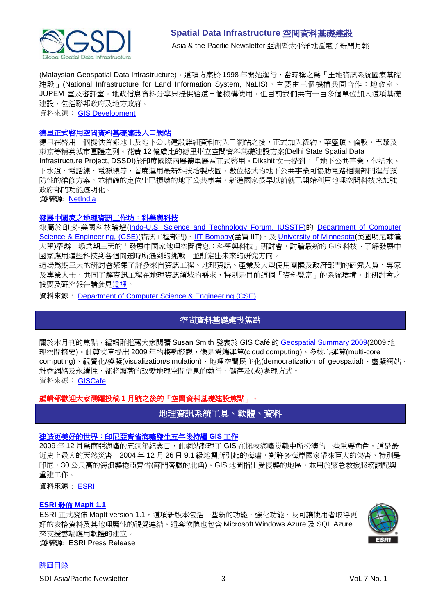

(Malaysian Geospatial Data Infrastructure)。這項方案於 1998 年開始進行,當時稱之爲「土地資訊系統國家基礎 建設 | (National Infrastructure for Land Information System, NaLIS), 主要由三個機構共同合作: 地政室、 JUPEM 室及審評室。地政信息資料分享只提供給這三個機構使用,但目前我們共有一百多個單位加入這項基礎 建設,包括聯邦政府及地方政府。

資料來源: [GIS Development](http://www.gisdevelopment.net/magazine/global/2009/December/50.htm)

#### [德里正式啟用空間資料基礎建設入口網站](http://netindian.in/news/2009/11/26/0004184/delhi-launches-spatial-data-infrastructure-portal)

德里在啓用一個提供首都地上及地下公共建設詳細資料的入口網站之後,正式加入紐約、華盛頓、倫敦、巴黎及 東京等精英城市團體之列。花費 12 億盧比的德里州立空間資料基礎建設方案(Delhi State Spatial Data Infrastructure Project, DSSDI)於印度國際商展德里展區正式啟用。Dikshit 女士提到:「地下公共事業,包括水、 下水道、電話線、電源線等,首度運用最新科技繪製成圖。數位格式的地下公共事業可協助電路相關部門進行預 防性的維修方案,並精確的定位出已損壞的地下公共事業。新進國家很早以前就已開始利用地理空間科技來加強 政府部門功能透明化。 資料來源: [NetIndia](http://netindian.in/news/2009/11/26/0004184/delhi-launches-spatial-data-infrastructure-portal)

#### [發展中國家之地理資訊工作坊:科學與科技](http://www.cse.iitb.ac.in/gise/workshop)

隸屬於印度-美國科技論壇[\(Indo-U.S. Science and Technology Forum,](http://www.indousstf.org/) IUSSTF)的 [Department of Computer](http://www.indousstf.org/)  Science & Engineering, (CSE)([資訊工程部門](http://www.iitb.ac.in/))、IIT Bombay(孟買 IIT)、及 [University of Minnesota\(](http://www1.umn.edu/twincities/index.php)美國明尼蘇達 大學)舉辦一場為期三天的「發展中國家地理空間信息:科學與科技」研討會,討論最新的 GIS 科技、了解發展中 國家應用這些科技到各個問題時所遇到的挑戰,並訂定出未來的研究方向。

這場為期三天的研討會聚集了許多來自資訊工程、地理資訊、產業及大型使用團體及政府部門的研究人員、專家 及專業人士,共同了解資訊工程在地理資訊領域的需求,特別是目前這個「資料豐富」的系統環境。此研討會之 摘要及研究報告[請參見這裡。](http://www.cse.iitb.ac.in/gise/workshop)

<span id="page-2-0"></span>資料來源: **[Department of Computer Science & Engineering \(CSE\)](http://www.cse.iitb.ac.in/)** 

### 空間資料基礎建設焦點

關於本月刊的焦點,編輯群推薦大家閱讀 Susan Smith 發表於 GIS Café 的 [Geospatial Summary 2009\(](http://www10.giscafe.com/nbc/articles/view_weekly.php?articleid=772003)2009 地 理空間摘要)。此篇文章提出 2009 年的趨勢概觀,像是雲端運算(cloud computing)、多核心運算(multi-core computing)、視覺化/模擬(visualization/simulation)、地理空間民主化(democratization of geospatial)、虛擬網站、 社會網絡及永續性,都將顯著的改變地理空間信息的執行、儲存及(或)處理方式。 資料來源: [GISCafe](http://www10.giscafe.com/nbc/articles/view_weekly.php?articleid=772003&page_no=3)

### <span id="page-2-1"></span>編輯部歡迎大家踴躍投稿 **1** 月號之後的「空間資料基礎建設焦點」。

## 地理資訊系統工具、軟體、資料

#### [建造更美好的世界:印尼亞齊省海嘯發生五年後持續](http://www.vector1media.com/articles/features/10677-building-back-better-aceh-province-indonesia-continues-gis-work-five-years-after-tsunami) **GIS** 工作

2009年12月為南亞海嘯的五週年紀念日,此網站整理了 GIS 在拯救海嘯災難中所扮演的一些重要角色。這是最 近史上最大的天然災害,2004 年 12 月 26 日 9.1 級地震所引起的海嘯,對許多海岸國家帶來巨大的傷害,特別是 印尼。30 公尺高的海浪襲捲亞齊省(蘇門答臘的北角)。GIS 地圖指出受侵襲的地區,並用於緊急救援服務調配與 重建工作。

資料來源: [ESRI](http://www.vector1media.com/articles/features/10677-building-back-better-aceh-province-indonesia-continues-gis-work-five-years-after-tsunami)

#### **ESRI** 發佈 **[MapIt 1.1](http://www.esri.com/news/releases/09_4qtr/mapit-release11.html)**

ESRI 正式發佈 MapIt version 1.1,這項新版本包括一些新的功能、強化功能、及可讓使用者取得更 好的表格資料及其地理屬性的視覺連結。這套軟體也包含 Microsoft Windows Azure 及 SQL Azure 來支援雲端應用軟體的建立。 資料來源: ESRI Press Release

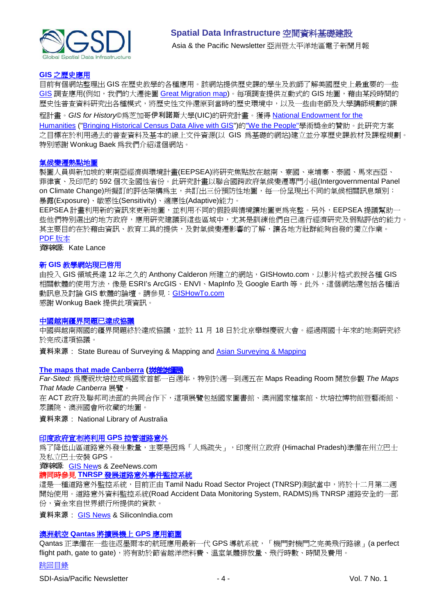

#### **GIS** [之歷史應用](http://www.gisforhistory.org/)

目前有個網站整理出 GIS 在歷史教學的各種應用。該網站提供歷史課的學生及教師了解美國歷史上最重要的一些 [GIS](http://www.gisforhistory.org/info/whatisgis.php) 調查應用(例如,我們的大遷徙圖 [Great Migration map\)](http://www.gisforhistory.org/projects/greatmigration/?defaultView=map)。每項調查提供互動式的 GIS 地圖,藉由某段時間的 歷史性普查資料研究出各種模式,將歷史性文件還原到當時的歷史環境中,以及一些由老師及大學講師規劃的課 程計畫。*GIS for History*©為芝加哥伊利諾斯大學(UIC)的研究計畫。獲得 [National Endowment for the](http://www.neh.gov/)  [Humanities](http://www.neh.gov/) (["Bringing Historical Census Data Alive with GIS"](http://www.uic.edu/educ/bctpi/historyGIS/NEHRadinsky03narrative.pdf))的["We the People"](http://www.wethepeople.gov/)學術獎金的贊助。此研究方案

之目標在於利用過去的普查資料及基本的線上文件資源(以 GIS 為基礎的網站)建立並分享歷史課教材及課程規劃。 特別感謝 Wonkug Baek 為我們介紹這個網站。

#### [氣候變遷熱點地圖](http://www.idrc.ca/ccaa/ev-148556-201-1-DO_TOPIC.html)

製圖人員與新加坡的東南亞經濟與環境計畫(EEPSEA)將研究焦點放在越南、寮國、柬埔寨、泰國、馬來西亞、 菲律賓、及印尼的 592 個次全國性省份。此研究計畫以聯合國跨政府氣候變遷專門小組(Intergovernmental Panel on Climate Change)所擬訂的評估架構爲主,共訂出三份預防性地圖,每一份呈現出不同的氣候相關訊息類別: 暴露(Exposure)、敏感性(Sensitivity)、適應性(Adaptive)能力。

EEPSEA 計畫利用新的資訊來更新地圖,並利用不同的假設與情境讓地圖更為完整。另外,EEPSEA 提議幫助一 些他們特別選出的地方政府,應用研究建議到這些區域中,尤其是訓練他們自己進行經濟研究及弱點評估的能力。 其主要目的在於藉由資訊、教育工具的提供,及對氣候變遷影響的了解,讓各地方社群能夠自發的獨立作業。 PDF [版本](http://www.idrc.ca/uploads/user-S/12586674031Climate_Change_map_final.pdf)

資料來源: Kate Lance

#### 新 **GIS** 教學網站現已啟用

由投入 GIS 領域長達 12 年之久的 Anthony Calderon 所建立的網站, GISHowto.com, 以影片格式教授各種 GIS 相關軟體的使用方法,像是 ESRI's ArcGIS、ENVI、MapInfo 及 Google Earth 等。此外,這個網站還包括各種活 動訊息及討論 GIS 軟體的論壇。請參見:[GISHowTo.com](http://www.gishowto.com/) 感謝 Wonkug Baek 提供此項資訊。

#### [中國越南疆界問題已達成協議](http://en.sbsm.gov.cn/article/Importantactivity/200911/20091100058941.shtml)

中國與越南兩國的疆界問題終於達成協議,並於 11 月 18 日於北京舉辦慶祝大會。經過兩國十年來的地測研究終 於完成這項協議。

資料來源: State Bureau of Surveying & Mapping and [Asian Surveying & Mapping](http://asmmag.com/news/china-vietnamese-land-border-issue-settled)

#### **[The maps that made Canberra](http://www.nla.gov.au/news/story.php?id=268) (**坎培拉地圖展**)**

*Far-Sited:* 為慶祝坎培拉成為國家首都一百週年,特別於週一到週五在 Maps Reading Room 開放參觀 *The Maps That Made Canberra* 展覽。

在 ACT 政府及聯邦司法部的共同合作下,這項展覽包括國家圖書館、澳洲國家檔案館、坎培拉博物館暨藝術館、 眾議院、澳洲國會所收藏的地圖。

資料來源: National Library of Australia

#### [印度政府宣布將利用](http://www.zeenews.com/news587382.html) **GPS** 控管道路意外

為了降低山區道路意外發生數量,主要是因為「人為疏失」,印度州立政府 (Himachal Pradesh)準備在州立巴士 及私立巴士安裝 GPS。

資料來源: [GIS News](http://www.gisdevelopment.net/news/viewn.asp?id=GIS:N_aswptcbvhy) & ZeeNews.com

請同時參見 **TNRSP** [發展道路意外事件監控系統](http://www.siliconindia.com/shownews/Soon_a_system_to_monitor_road_accidents_-nid-63271.html)

這是一種道路意外監控系統, 目前正由 Tamil Nadu Road Sector Project (TNRSP)測試當中, 將於十二月第二週 開始使用。道路意外資料監控系統(Road Accident Data Monitoring System, RADMS)為 TNRSP 道路安全的一部 份,資金來自世界銀行所提供的貸款。

資料來源: [GIS News](http://www.gisdevelopment.net/news/viewn.asp?id=GIS:N_aulnikgcvm&Ezine=nov3009§ion=News) & SiliconIndia.com

#### 澳洲航空 **Qantas** [將擴展機上](http://www.gisdevelopment.net/news/viewn.asp?id=GIS:N_wkrfztshdv&Ezine=dec0709§ion=News) **GPS** 應用範圍

Qantas 正準備在一些往返墨爾本的航班應用最新一代 GPS 導航系統,「機門對機門之完美飛行路線」(a perfect flight path, gate to gate), 將有助於節省越洋燃料費、溫室氣體排放量、飛行時數、時間及費用。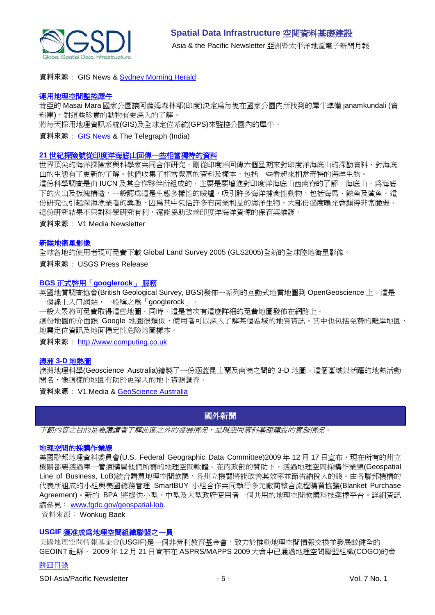

#### 資料來源: GIS News & [Sydney Morning Herald](http://www.smh.com.au/travel/travel-news/perfect-flight-path-qantas-expands-gps-use-20091203-k7yy.html)

#### [運用地理空間監控犀牛](http://www.telegraphindia.com/1091128/jsp/northeast/story_11793866.jsp)

肯亞的 Masai Mara 國家公園讓阿薩姆森林部(印度)決定為每隻在國家公園內所找到的犀牛準備 janamkundali (資 料庫), 對這些珍貴的動物有更深入的了解。

將每天採用地理資訊系統(GIS)及全球定位系統(GPS)來監控公園內的犀牛。

#### 資料來源: [GIS News](http://www.gisdevelopment.net/news/viewn.asp?id=GIS:N_tapiszvjyf&Ezine=dec0709§ion=News) & The Telegraph (India)

#### **21** [世紀探險號從印度洋海底山回傳一些相當獨特的資料](http://www.vector1media.com/news/top-stories/53-corporate-news/10616-21st-century-explorers-return-with-unique-data-from-indian-ocean-seamounts)

世界頂尖的海洋探險家與科學家共同合作研究,剛從印度洋回傳六個星期來對印度洋海底山的探勘資料,對海底 山的生態有了更新的了解。他們收集了相當豐富的資料及樣本,包括一些看起來相當奇特的海洋生物。 這份科學調查是由 IUCN 及其合作夥伴所組成的,主要是要增進對印度洋海底山西南脊的了解。海底山,為海底 下的火山及板塊構造,一般認為這是生態多樣性的暖爐,吸引許多海洋捕食性動物,包括海馬、鯨魚及鯊魚。這 份研究也引起深海漁業者的興趣,因為其中包括許多有商業利益的海洋生物,大部份過度曝光會顯得非常脆弱。 這份研究結果不只對科學研究有利,還能協助改善印度洋海洋資源的保育與維護。

資料來源: V1 Media Newsletter

#### [新陸地衛星影像](http://www.usgs.gov/newsroom/article.asp?ID=2364)

全球各地的使用者現可免費下載 Global Land Survey 2005 (GLS2005)全新的全球陸地衛星影像。

資料來源: USGS Press Release

#### **BGS** 正式啟用「**[googlerock](http://www.computing.co.uk/computing/news/2254548/geological-society-launches)**」 服務

英國地質調查協會(British Geological Survey, BGS)發佈一系列的互動式地質地圖到 OpenGeoscience 上。這是 一個線上入口網站,一般稱之為「googlerock」。

一般大眾將可免費取得這些地圖。同時,這是首次有這麼詳細的免費地圖發佈在網路上。

這份地圖的介面跟 Google 地圖很類似,使用者可以深入了解某個區域的地質資訊。其中也包括免費的離岸地圖、 地震定位資訊及地面穩定性危險地圖樣本。

資料來源: [http://www.computing.co.uk](http://www.computing.co.uk/)

#### 澳洲 **3-D** [地熱圖](http://www.vector1media.com/vectorone/?p=4433)

澳洲地理科學(Geoscience Australia)繪製了一份涵蓋昆士蘭及南澳之間的 3-D 地圖。這個區域以活躍的地熱活動 聞名,像這樣的地圖有助於更深入的地下資源調查。

<span id="page-4-0"></span>資料來源: V1 Media & [GeoScience Australia](http://www.ga.gov.au/ausgeonews/ausgeonews200912/cooper.jsp)

## 國外新聞

下節內容之目的是要讓讀者了解此區之外的發展情況,呈現空間資料基礎建設的實施情況。

#### [地理空間的採購作業線](http://www.fgdc.gov/geospatial-lob)

美國聯邦地理資料委員會(U.S. Federal Geographic Data Committee)2009年 12月 17 日宣布,現在所有的州立 機關都要透過單一管道購買他們所需的地理空間軟體。在內政部的贊助下,透過地理空間採購作業線(Geospatial Line of Business, LoB)統合購買地理空間軟體,各州立機關將能改善其效率並節省納稅人的錢。由各聯邦機構的 代表所組成的小組與美國總務管理 SmartBUY 小組合作共同執行多元廠商整合流程購買協議(Blanket Purchase Agreement)。新的 BPA 將提供小型、中型及大型政府使用者一個共用的地理空間軟體科技選擇平台。詳細資訊 請參見: www.fgdc.gov/geospatial-lob*.*

資料來源: Wonkug Baek

#### **USGIF** [獲准成為地理空間組織聯盟之](http://www.urisa.org/cogo)一員

美國地理空間情報基金會(USGIF)是一個非營利教育基金會,致力於推動地理空間情報交換並發展較健全的 GEOINT 社群, 2009 年 12 月 21 日宣布在 ASPRS/MAPPS 2009 大會中已通過地理空間聯盟組織(COGO)的會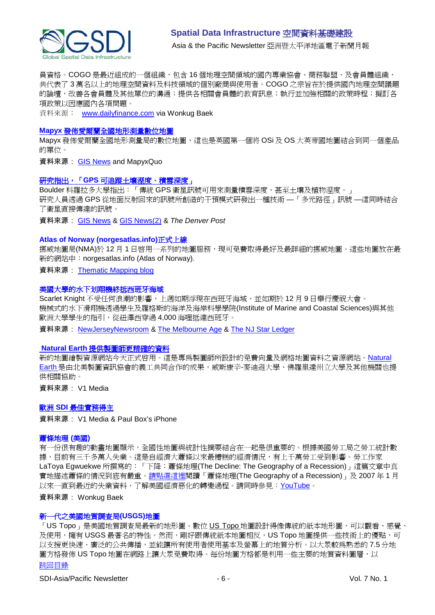

員資格。COGO 是最近組成的一個組織,包含 16 個地理空間領域的國內專業協會、商務聯盟、及會員體組織, 共代表了 3 萬名以上的地理空間資料及科技領域的個別廠商與使用者。COGO 之宗旨在於提供國內地理空間議題 的論壇,改善各會員體及其他單位的溝通;提供各相關會員體的教育訊息;執行並加強相關的政策時程;擬訂各 項政策以因應國內各項問題。

資料來源: www.dailyfinance.com via Wonkug Baek

#### **Mapyx** [發佈愛爾蘭全國地形測量數位地圖](http://in.sys-con.com/node/1196999)

Mapyx 發佈愛爾蘭全國地形測量局的數位地圖,這也是英國第一個將 OSi 及 OS 大英帝國地圖結合到同一個產品 的單位。

資料來源: [GIS News](http://www.gisdevelopment.net/news/viewn.asp?id=GIS:N_eagxtrpvcn&Ezine=nov3009§ion=News) and MapyxQuo

### 研究指出,「**GPS** [可追蹤土壤溼度、積雪深度」](http://www.denverpost.com/headlines/ci_13874821)

Boulder 科羅拉多大學指出:「傳統 GPS 衛星訊號可用來測量積雪深度、甚至土壤及植物溼度。」 研究人員透過 GPS 從地面反射回來的訊號所創造的干預模式研發出一種技術 —「多元路徑」訊號 —這同時結合 了衛星直接傳達的訊號。

資料來源: [GIS News](http://www.gisdevelopment.net/news/viewn.asp?id=GIS:N_agoejtqwsd) & [GIS News\(2\)](http://www.gisdevelopment.net/news/viewn.asp?id=GIS:N_agoejtqwsd&Ezine=dec0709§ion=News) & *The Denver Post*

#### **Atlas of Norway (norgesatlas.info)**正式上線

挪威地圖局(NMA)於 12月1日啓用一系列的地圖服務,現可免費取得最好及最詳細的挪威地圖。這些地圖放在最 新的網站中:norgesatlas.info (Atlas of Norway).

資料來源: [Thematic Mapping blog](http://blog.thematicmapping.org/2009/12/introducing-atlas-of-norway.html?utm_source=feedburner&utm_medium=email&utm_campaign=Feed%3A+thematicmapping+%28thematic+mapping+blog%29)

#### 美國大學的水下划翔機終抵西班牙海域

Scarlet Knight 不受任何浪潮的影響,上週如期浮現在西班牙海域,並如期於 12 月 9 日舉行慶祝大會。 機械式的水下滑翔機透過學生及羅格斯的海洋及海岸科學學院(Institute of Marine and Coastal Sciences)與其他 歐洲大學學生的指引,從紐澤西穿過 4,000 海哩抵達西班牙。

資料來源: [NewJerseyNewsroom](http://www.newjerseynewsroom.com/science-updates/rutgers-robotic-underwater-glider-reaches-spanish-waters) & [The Melbourne Age](http://www.theage.com.au/world/a-glider-tests-the-waters-20091204-kaw7.html) & [The NJ Star Ledger](http://www.nj.com/news/index.ssf/2009/12/rutgers_university_ocean_glide_1.html)

### **Natural Earth** [提供製圖師更精確的資料](http://vector1media.com/spatialsustain/launch-of-natural-earth-provides-cartographer-specific-data.html)

新的地圖繪製資源網站今天正式啟用。這是專為製圖師所設計的免費向量及網格地圖資料之資源網站。[Natural](http://www.naturalearthdata.com/)  [Earth](http://www.naturalearthdata.com/) 是由北美製圖資訊協會的義工共同合作的成果,威斯康辛-麥迪遜大學、佛羅里達州立大學及其他機關也提 供相關協助。

資料來源: V1 Media

#### 歐洲 **SDI** [最佳實務得主](http://www.vector1media.com/news/top-stories/55-policy-watch/10373-award-winning-european-sdi-best-practice)

資料來源: V1 Media & Paul Box's iPhone

#### 蕭條地理 **(**美國**)**

有一份很有趣的動畫地圖顯示,全國性地圖與統計性摘要結合在一起是很重要的。根據美國勞工局之勞工統計數 據,目前有三千多萬人失業。這是自經濟大蕭條以來最糟糕的經濟情況,有上千萬勞工受到影響。勞工作家 LaToya Egwuekwe 所撰寫的:「下降:蕭條地理(The Decline: The Geography of a Recession)」這篇文章中真 實地描述蕭條的情況到底有嚴重[。請點選這裡閱](http://cohort11.americanobserver.net/latoyaegwuekwe/multimediafinal.html)讀「蕭條地理(The Geography of a Recession)」及 2007 年 1 月 以來一直到最近的失業資料,了解美國經濟惡化的轉變過程[。請同時參見:](http://www.youtube.com/watch?v=RrP9qJmjIsA)YouTube。

#### 資料來源: Wonkug Baek

#### 新一代之美國地質調查局**(USGS)**地圖

[跳回目錄](#page-0-0) 「[US Topo](http://nationalmap.usgs.gov/ustopo)」是美國地質調查局最新的地形圖。數位 US Topo 地圖設計得像傳統的紙本地形圖,可以觀看、感覺、 及使用,擁有 USGS 最著名的特性。然而,剛好跟傳統紙本地圖相反,US Topo 地圖提供一些技術上的優點,可 以支援更快速、廣泛的公共傳播,並能讓所有使用者使用基本及螢幕上的地質分析。以大眾較為熟悉的 7.5 分地 圖方格發佈 US Topo 地圖在網路上讓大眾免費取得。每份地圖方格都是利用一些主要的地質資料圖層,以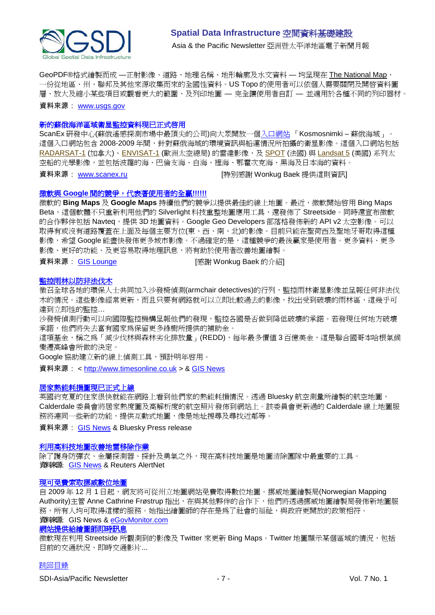

GeoPDF®格式繪製而成 —正射影像、道路、地理名稱、地形輪廓及水文資料 — 均呈現在 [The National Map](http://nationalmap.gov/), 一份從地區、州、聯邦及其他來源收集而來的全國性資料。US Topo 的使用者可以依個人需要關閉及開啟資料圖 層、放大及縮小某些項目或觀看更大的範圍、及列印地圖 — 完全讓使用者自訂 — 並適用於各種不同的列印器材。 資料來源: [www.usgs.gov](http://www.scanex.ru/)

#### 新的蘇俄海洋區域衛星監控資料現已正式啓用

ScanEx 研發中心(蘇俄遙感探測市場中最頂尖的公司)向大眾開[放一個入口網站](http://ocean.kosmosnimki.ru/) 「Kosmosnimki – 蘇俄海域」。 這個入口網站包含 2008-2009 年間,針對蘇俄海域的環境資訊與船運情況所拍攝的衛星影像。這個入口網站包括 [RADARSAT-1](http://www.scanex.ru/en/data/default.asp?submenu=radarsat&id=index) (加拿大)、[ENVISAT-1](http://www.scanex.ru/en/data/default.asp?submenu=envisat&id=index) (歐洲太空總局) 的雷達影像,及 [SPOT](http://www.scanex.ru/en/data/default.asp?submenu=spot&id=index) (法國) 與 [Landsat 5](http://www.scanex.ru/en/data/default.asp?submenu=landsat&id=index) (美國) 系列太 空船的光學影像,並包括波羅的海、巴倫支海、白海、裡海、鄂霍次克海、黑海及日本海的資料。

資料來源: [www.scanex.ru](http://www.scanex.ru/) | インプレント | 特別感謝 Wonkug Baek 提供這則資訊

#### 微軟與 **Google** [間的競爭,代表著使用者的全贏](http://gislounge.com/microsofts-bing-vs-google-maps-means-users-win/)**!!!!!!**

微軟的 **Bing Maps** 及 **Google Maps** 持續他們的競爭以提供最佳的線上地圖。最近,微軟開始啟用 Bing Maps Beta,這個軟體不只重新利用他們的 Silverlight 科技重整地圖應用工具,還發佈了 Streetside。同時還宣布微軟 的合作夥伴包括 Navteq,提供 3D 地圖資料。Google Geo Developers 部落格發佈新的 API v2 太空影像。可以 取得有或沒有道路覆蓋在上面及每個主要方位(東、西、南、北)的影像。目前只能在聖荷西及聖地牙哥取得這種 影像,希望 Google 能盡快發佈更多城市影像。不過確定的是,這種競爭的最後贏家是使用者。更多資料、更多 影像、更好的功能、及更容易取得地理訊息,將有助於使用者改善地圖繪製。

資料來源: [GIS Lounge](http://gislounge.com/) **compasses** [感謝 Wonkug Baek 的介紹]

#### [監控雨林以防非法伐木](http://www.timesonline.co.uk/tol/news/environment/article6924113.ece)

徵召全球各地的環保人士共同加入沙發椅偵測(armchair detectives)的行列,監控雨林衛星影像並呈報任何非法伐 木的情況。這些影像經常更新,而且只要有網路就可以立即比較過去的影像,找出受到破壞的雨林區,這幾乎可 達到立即性的監控…

沙發椅偵測行動可以向國際監控機構呈報他們的發現,監控各國是否做到降低破壞的承諾。若發現任何地方破壞 承諾,他們將失去富有國家為保留更多綠樹所提供的補助金。

這項基金,稱之為「減少伐林與森林劣化排放量」(REDD),每年最多價值 3 百億美金,這是聯合國哥本哈根氣候 變遷高峰會所做的決定。

Google 協助建立新的線上偵測工具,預計明年啟用。

資料來源: < [http://www.timesonline.co.uk](http://www.timesonline.co.uk/) > & [GIS News](http://www.gisdevelopment.net/news/viewn.asp?id=GIS:N_hvuoxtwqbk&Ezine=nov3009§ion=News)

#### [居家熱能耗損圖現已正式上線](http://www.bluesky-world.com/press_releases/?id=148)

英國約克夏的住家很快就能在網路上看到他們家的熱能耗損情況。透過 Bluesky 航空測量所繪製的航空地圖, Calderdale 委員會將居家熱度圖及高解析度的航空照片發佈到網站上。該委員會更新過的 Calderdale 線上地圖服 務將連同一些新的功能,提供互動式地圖,像是地址搜尋及尋找近鄰等。

資料來源: [GIS News](http://www.gisdevelopment.net/news/viewn.asp?id=GIS:N_wpxzhuisva&Ezine=nov3009§ion=News) & Bluesky Press release

#### [利用高科技地圖改善地雷移除作業](http://www.alertnet.org/db/an_art/59567/2009/11/1-150609-1.htm)

除了護身防彈衣、金屬探測器、探針及勇氣之外,現在高科技地圖是地圖清除團隊中最重要的工具。 資料來源: [GIS News](http://www.gisdevelopment.net/news/viewn.asp?id=GIS:N_artxbpfhuj&Ezine=dec0709§ion=News) & Reuters AlertNet

#### [現可免費索取](http://www.gisdevelopment.net/news/viewn.asp?id=GIS:N_jxgziqkmwl)挪威數位地圖

自 2009年12月1日起,網友將可從州立地圖網站冤費取得數位地圖。挪威地圖繪製局(Norwegian Mapping Authority)主管 Anne Cathrine Frøstrup 指出, 在與其他夥伴的合作下, 他們將透過挪威地圖繪製局發佈新地圖服 務,所有人均可取得這樣的服務。她指出繪圖師的存在是為了社會的福祉,與政府更開放的政策相符。 資料來源: GIS News & [eGovMonitor.com](http://www.egovmonitor.com/node/31919)

### [網站提供給繪圖師即時訊息](http://www.microsoft.com/presspass/features/2009/dec09/12-02bingmapupdates.mspx)

微軟現在利用 Streetside 所觀測到的影像及 Twitter 來更新 Bing Maps。Twitter 地圖顯示某個區域的情況,包括 目前的交通狀況、即時交通影片...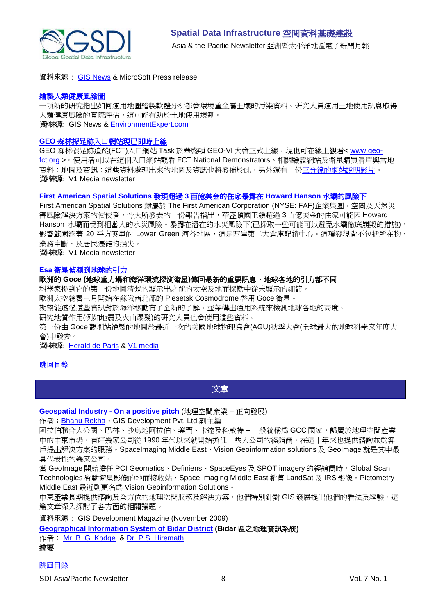

資料來源: [GIS News](http://www.gisdevelopment.net/news/viewn.asp?id=GIS:N_gurtenydaw&Ezine=dec0709§ion=News) & MicroSoft Press release

#### [繪製人類健康風險圖](http://www.gisdevelopment.net/news/viewn.asp?id=GIS:N_zunhqflyaj&Ezine=dec0709§ion=News)

一項新的研究指出如何運用地圖繪製軟體分析都會環境重金屬土壤的污染資料。研究人員運用土地使用訊息取得 人類健康風險的實際評估,這可能有助於土地使用規劃。 資料來源: GIS News & [EnvironmentExpert.com](http://www.environmental-expert.com/resultEachPressRelease.aspx?cid=37051&codi=76028&lr=1)

#### **GEO** [森林探足跡入口網站現已即時上線](http://www.vector1media.com/news/top-stories/53-corporate-news/10596-geo-forest-carbon-tracking-portal-now-live)

GEO 森林碳足跡追蹤(FCT)入口網站 Task 於華盛頓 GEO-VI 大會正式上線,現也可在線上觀看< [www.geo](http://www.geo-fct.org/)[fct.org](http://www.geo-fct.org/) >。使用者可以在這個入口網站觀看 FCT National Demonstrators、相關驗證網站及衛星購買清單與當地 資料;地圖及資訊;這些資料處理出來的地圖及資訊也將發佈於此。另外還有一[份三分鐘的網站說明影片。](http://www.earthobservations.org/documents/articles_ext/FTC%20portal_video.wmv) 資料來源: V1 Media newsletter

#### **[First American Spatial Solutions](http://www.vector1media.com/news/top-stories/53-corporate-news/10597-first-american-spatial-solutions-finds-30b-of-properties-exposed-to-howard-hanson-dam-vulnerability)** 發現超過 **3** 百億美金的住家暴露在 **Howard Hanson** 水壩的風險下

First American Spatial Solutions 隸屬於 The First American Corporation (NYSE: FAF)企業集團,空間及天然災 害風險解決方案的佼佼者,今天所發表的一份報告指出,華盛頓國王鎮超過 3 百億美金的住家可能因 Howard Hanson 水壩而受到相當大的水災風險。暴露在潛在的水災風險下(已採取一些可能可以避免水壩徹底崩毀的措施), 影響範圍涵蓋 20 平方英里的 Lower Green 河谷地區,這是西岸第二大倉庫配銷中心。這項發現尙不包括所在物、 業務中斷、及居民遷徙的損失。

資料來源: V1 Media newsletter

#### **Esa** 衛星偵測到地球的引力

#### 歐洲的 **Goce (**地球重力場和海洋環流探測衛星**)**傳回最新的重要訊息,地球各地的引力都不同

科學家提到它的第一份地圖清楚的顯示出之前的太空及地面探勘中從未顯示的細節。

歐洲太空總署三月開始在蘇俄西北部的 Plesetsk Cosmodrome 啟用 Goce 衛星。

期望能透過這些資訊對於海洋移動有了全新的了解,並架構出通用系統來檢測地球各地的高度。

研究地質作用(例如地震及火山爆發)的研究人員也會使用這些資料。

第一份由 Goce 觀測站繪製的地圖於最近一次的美國地球物理協會(AGU)秋季大會(全球最大的地球科學家年度大 會)中發表。

資料來源: [Herald de Paris](http://www.heralddeparis.com/esa-satellite-senses-earths-pull/68096) & [V1 media](http://vector1media.com/news/headlines/10702-esa-satellite-senses-earths-pull)

#### <span id="page-7-0"></span>[跳回目錄](#page-0-0)

文章

**[Geospatial Industry -](http://gisdevelopment.net/magazine/global/2009/November/34.htm) On a positive pitch** (地理空間產業 – 正向發展)

作者: **[Bhanu Rekha](mailto:bhanu.rekha@gisdevelopment.net)**, GIS Development Pvt. Ltd.副主編

阿拉伯聯合大公國、巴林、沙烏地阿拉伯、葉門、卡達及科威特 – 一般統稱為 GCC 國家,歸屬於地理空間產業 中的中東市場。有好幾家公司從 1990 年代以來就開始擔任一些大公司的經銷商,在這十年來也提供諮詢並為客 戶提出解決方案的服務。SpaceImaging Middle East、Vision Geoinformation solutions 及 GeoImage 就是其中最 具代表性的幾家公司。

當 GeoImage 開始擔任 PCI Geomatics、Definiens、SpaceEyes 及 SPOT imagery 的經銷商時, Global Scan Technologies 啓動衛星影像的地面接收站, Space Imaging Middle East 銷售 LandSat 及 IRS 影像。Pictometry Middle East 最近則更名為 Vision Geoinformation Solutions。

中東產業長期提供諮詢及全方位的地理空間服務及解決方案,他們特別針對 GIS 發展提出他們的看法及經驗。這 篇文章深入探討了各方面的相關議題。

資料來源: GIS Development Magazine (November 2009)

**[Geographical Information System of Bidar District](http://www.gisdevelopment.net/application/lis/rural/BGKodge.htm) (Bidar** 區之地理資訊系統**)**

作者: [Mr. B. G. Kodge.](mailto:kodgebg@hotmail.com) & [Dr. P.S. Hiremath](mailto:hiremathps53@yahoo.com)

摘要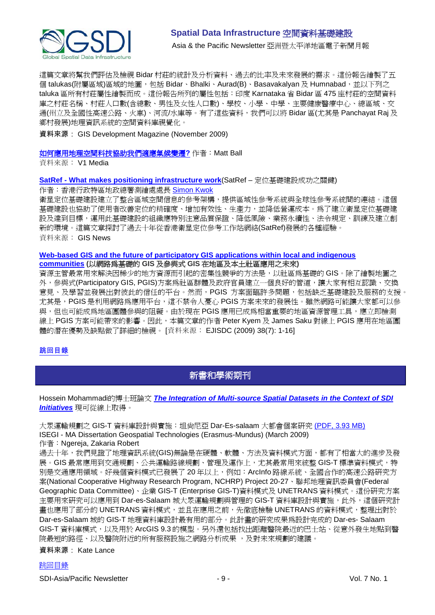

Asia& the Pacific Newsletter 亞洲暨太平洋地區電子新聞月報

這篇文章將幫我們評估及檢視 Bidar 村莊的統計及分析資料、過去的比率及未來發展的需求。這份報告繪製了五 個 talukas(附屬區域)區域的地圖,包括 Bidar、Bhalki、Aurad(B)、Basavakalyan 及 Humnabad,並以下列之 taluka 區所有村莊屬性繪製而成。這份報告所列的屬性包括:印度 Karnataka 省 Bidar 區 475 座村莊的空間資料 庫之村莊名稱、村莊人口數(含總數、男性及女性人口數)、學校、小學、中學、主要健康醫療中心、總區域、交 通(州立及全國性高速公路、火車)、河流/水庫等。有了這些資料,我們可以將 Bidar 區(尤其是 Panchayat Raj 及 鄉村發展)地理資訊系統的空間資料庫視覺化。

資料來源: GIS Development Magazine (November 2009)

#### [如何應用地理空間科技協助我們適應氣候變遷](http://www.vector1media.com/dialogue/perspectives/10241-how-will-geospatial-technology-help-us-adapt-to-climate-change)**?** 作者:Matt Ball

資料來源: V1 Media

#### **SatRef - [What makes positioning infrastructure work](http://gisdevelopment.net/magazine/global/2009/November/29.htm)**(SatRef – 定位基礎建設成功之關鍵)

作者:香港行政特區地政總署測繪處處長 [Simon Kwok](mailto:clsu@landsd.gov.hk)

衛星定位基礎建設建立了整合區域空間信息的參考架構,提供區域性參考系統與全球性參考系統間的連結。這個 基礎建設也協助了使用者改善定位的精確度、增加有效性、生產力,並降低營運成本。為了建立衛星定位基礎建 設及達到目標,運用此基礎建設的組織應特別注意品質保證、降低風險、業務永續性、法令規定、訓練及建立創 新的環境。這篇文章探討了過去十年從香港衛星定位參考工作站網絡(SatRef)發展的各種經驗。 資料來源: GIS News

#### **[Web-based GIS and the future of participatory GIS applications within local and indigenous](http://www.ejisdc.org/ojs2/index.php/ejisdc/article/viewFile/584/292)  [communities](http://www.ejisdc.org/ojs2/index.php/ejisdc/article/viewFile/584/292) (**以網路為基礎的 **GIS** 及參與式 **GIS** 在地區及本土社區應用之未來**)**

資源主管最常用來解決因稀少的地方資源而引起的密集性競爭的方法是,以社區為基礎的 GIS。除了繪製地圖之 外,參與式(Participatory GIS, PGIS)方案為社區群體及政府官員建立一個良好的管道,讓大家有相互認識、交換 意見、及學習並發展出對彼此的信任的平台。然而,PGIS 方案面臨許多問題,包括缺乏基礎建設及服務的支援。 尤其是,PGIS 是利用網路為應用平台,這不禁令人憂心 PGIS 方案未來的發展性。雖然網路可能讓大家都可以參 與,但也可能成為地區團體參與的阻礙。由於現在 PGIS 應用已成為相當重要的地區資源管理工具,應立即檢測 線上 PGIS 方案可能帶來的影響。因此,本篇文章的作者 Peter Kyem 及 James Saku 對線上 PGIS 應用在地區團 體的潛在優勢及缺點做了詳細的檢視。 [資料來源: EJISDC (2009) 38(7): 1-16]

### <span id="page-8-0"></span>[跳回目錄](#page-0-0)

# 新書和學術期刊

Hossein Mohammadi的博士班論文 *[The Integration of Multi-source Spatial Datasets in the Context of SDI](http://www.csdila.unimelb.edu.au/publication/thesis/hossein-PhD.pdf)  [Initiatives](http://www.csdila.unimelb.edu.au/publication/thesis/hossein-PhD.pdf)* 現可從線上取得。

大眾運輸規劃之 GIS-T 資料庫設計與實施: 坦尚尼亞 Dar-Es-salaam 大都會個案研究 [\(PDF, 3.93 MB\)](http://dspace.fct.unl.pt/bitstream/10362/2321/1/TGEO0006.pdf) ISEGI - MA Dissertation Geospatial Technologies (Erasmus-Mundus) (March 2009) 作者:Ngereja, Zakaria Robert

過去十年,我們見證了地理資訊系統(GIS)無論是在硬體、軟體、方法及資料模式方面,都有了相當大的進步及發 展。GIS 最常應用到交通規劃、公共運輸路線規劃、管理及運作上,尤其最常用來統整 GIS-T 標準資料模式,特 別是交通應用領域。好幾個資料模式已發展了20年以上,例如: ArcInfo 路線系統、全國合作的高速公路研究方 案(National Cooperative Highway Research Program, NCHRP) Project 20-27、聯邦地理資訊委員會(Federal Geographic Data Committee)、企業 GIS-T (Enterprise GIS-T)資料模式及 UNETRANS 資料模式。這份研究方案 主要用來研究可以應用到 Dar-es-Salaam 城大眾運輸規劃與管理的 GIS-T 資料庫設計與實施,此外,這個研究計 畫也應用了部分的 UNETRANS 資料模式,並且在應用之前,先徹底檢驗 UNETRANS 的資料模式,整理出對於 Dar-es-Salaam 城的 GIS-T 地理資料庫設計最有用的部分。此計畫的研究成果為設計完成的 Dar-es- Salaam GIS-T 資料庫模式,以及用於 ArcGIS 9.3 的模型。另外還包括找出距離醫院最近的巴士站、從意外發生地點到醫 院最短的路徑、以及醫院附近的所有服務設施之網路分析成果,及對未來規劃的建議。

資料來源: Kate Lance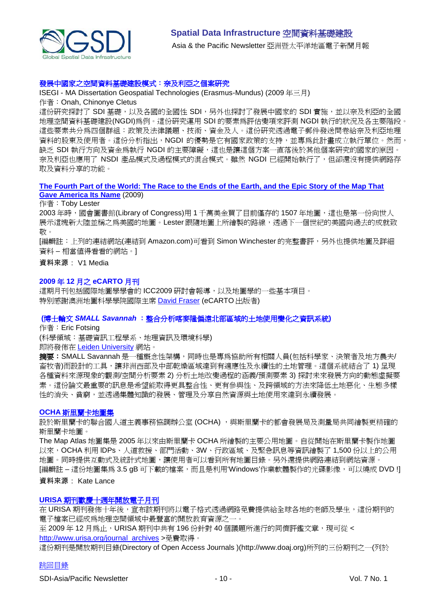

#### 發展中國家之空間資料基礎建設模式:奈及利亞之個案研究

ISEGI - MA Dissertation Geospatial Technologies (Erasmus-Mundus) (2009 年三月)

#### 作者:Onah, Chinonye Cletus

這份研究探討了 SDI 基礎,以及各國的全國性 SDI,另外也探討了發展中國家的 SDI 實施,並以奈及利亞的全國 地理空間資料基礎建設(NGDI)為例。這份研究運用 SDI 的要素為評估變項來評測 NGDI 執行的狀況及各主要階段。 這些要素共分為四個群組:政策及法律議題、技術、資金及人。這份研究透過電子郵件發送問卷給奈及利亞地理 資料的股東及使用者。這份分析指出,NGDI 的優勢是它有國家政策的支持,並專為此計畫成立執行單位。然而, 缺乏 SDI 執行方向及資金為執行 NGDI 的主要障礙,這也是讓這個方案一直落後於其他個案研究的國家的原因。 奈及利亞也應用了 NSDI 產品模式及過程模式的混合模式。雖然 NGDI 已經開始執行了,但卻還沒有提供網路存 取及資料分享的功能。

#### **[The Fourth Part of the World: The Race to the Ends of the Earth, and the Epic Story of the Map That](http://www.amazon.com/gp/product/1416535314?ie=UTF8&tag=vectmedi-20&linkCode=xm2&creativeASIN=1416535314)  [Gave America Its Name](http://www.amazon.com/gp/product/1416535314?ie=UTF8&tag=vectmedi-20&linkCode=xm2&creativeASIN=1416535314)** (2009)

#### 作者:Toby Lester

2003 年時, 國會圖書館(Library of Congress)用 1 千萬美金買了目前僅存的 1507 年地圖, 這也是第一份向世人 展示這塊新大陸並稱之為美國的地圖。Lester 跟隨地圖上所繪製的路線,透過下一個世紀的美國向過去的成就致 敬。

[編輯註:上列的連結網站(連結到 Amazon.com)可看到 Simon Winchester 的完整書評,另外也提供地圖及詳細 資料 – 相當值得看看的網站。]

#### 資料來源: V1 Media

#### **2009** 年 **12** 月之 **eCARTO** 月刊

這期月刊包括國際地圖學學會的 ICC2009 研討會報導,以及地圖學的一些基本項目。 特別感謝澳[洲地圖科學學院國際主席](mailto:David.Fraser@rmit.edu.au) David Fraser (eCARTO 出版者)

#### **(**博士輪文 *SMALL Savannah* :整合分析喀麥隆偏遠北部區域的土地使用變化之資訊系統**)**

作者:Eric Fotsing

(科學領域:基礎資訊工程學系、地理資訊及環境科學)

即將發佈在 [Leiden University](https://openaccess.leidenuniv.nl/dspace/handle/1887/9747) 網站。

**摘要:SMALL Savannah** 是一種概念性架構,同時也是專為協助所有相關人員(包括科學家、決策者及地方農夫/ 畜牧者)而設計的工具,讓非洲西部及中部乾燥區域達到有適應性及永續性的土地管理。這個系統結合了 1) 呈現 各種資料來源現象的觀測/空間分析要素 2) 分析土地改變過程的涵義/預測要素 3) 探討未來發展方向的動態虛擬要 素。這份論文最重要的訊息是希望能取得更具整合性、更有參與性、及跨領域的方法來降低土地惡化、生態多樣 性的消失、貧窮,並透過集體知識的發展、管理及分享自然資源與土地使用來達到永續發展。

#### **OCHA** [斯里蘭卡地圖集](http://www.humanitarianinfo.org/sriLanka_hpsl/Map_atlas.aspx)

設於斯里蘭卡的聯合國人道主義事務協調辦公室 (OCHA), 與斯里蘭卡的都會發展局及測量局共同繪製更精確的 斯里蘭卡地圖。

The Map Atlas 地圖集是 2005 年以來由斯里蘭卡 OCHA 所繪製的主要公用地圖。自從開始在斯里蘭卡製作地圖 以來,OCHA 利用 IDPs、人道救援、部門活動、3W、行政區域、及緊急訊息等資訊繪製了 1,500 份以上的公用 地圖。同時提供互動式及統計式地圖,讓使用者可以看到所有地圖目錄。另外還提供網路連結到網站資源。 [編輯註 – 這份地圖集為 3.5 gB 可下載的檔案,而且是利用'Windows'作業軟體製作的光碟影像,可以燒成 DVD !]

#### 資料來源: Kate Lance

#### **URISA** [期刊歡慶十週年開放電子月刊](http://www.vector1media.com/news/top-stories/53-corporate-news/10587-urisa-journal-marks-ten-years-of-open-access-publishing-)

在 URISA 期刊發佈十年後,宣布該期刊將以電子格式透過網路免費提供給全球各地的老師及學生,這份期刊的 電子檔案已經成為地理空間領域中最豐富的開放教育資源之一。

至 2009年12月為止,URISA 期刊中共有 196份針對 40 個議題所進行的同儕評鑑文章,現可從< [http://www.urisa.org/journal\\_archives](http://www.urisa.org/journal_archives) >免費取得。

這份期刊是開放期刊目錄(Directory of Open Access Journals )(http://www.doaj.org)所列的三份期刊之一(列於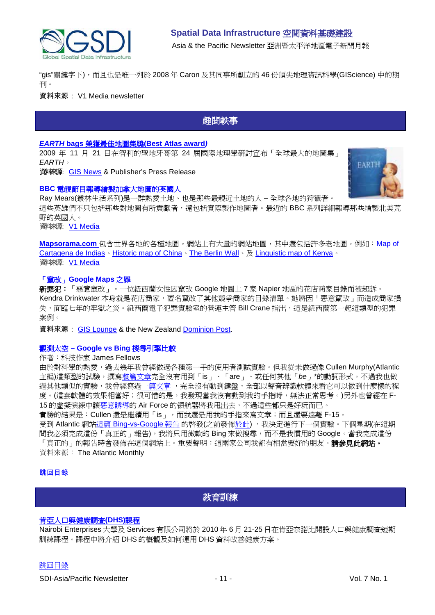

"gis"關鍵字下),而且也是唯一列於 2008 年 Caron 及其同事所創立的 46 份頂尖地理資訊科學(GIScience) 中的期 刊。

<span id="page-10-0"></span>資料來源: V1 Media newsletter

## 趣聞軼事

#### *EARTH* **bags** 榮獲最佳地圖集獎**[\(Best Atlas award](http://www.globalmapping.uk.com/news_thms/EarthvotedBestWorldAtlas.htm)***)*

2009 年 11 月 21 日在智利的聖地牙哥第 24 屆國際地理學研討宣布「全球最大的地圖集」 *EARTH*。

資料來源: [GIS News](http://www.gisdevelopment.net/news/viewn.asp?id=GIS:N_fltdbxgvzu) & Publisher's Press Release

#### **BBC** [電視節目報導繪製加拿大地圖的英國人](http://news.bbc.co.uk/2/hi/uk_news/wales/8354658.stm)



Ray Mears(叢林生活系列)是一群熱愛土地、也是那些最親近土地的人 – 全球各地的狩獵者。 這些英雄們不只包括那些對地圖有所貢獻者,還包括實際製作地圖者。最近的 BBC 系列詳細報導那些繪製北美荒 野的英國人。 資料來源: [V1 Media](http://vector1media.com/spatialsustain/following-in-the-footsteps-of-canadas-cartographer.html)

**[Mapsorama.com](http://www.mapsorama.com/)** 包含世界各地的各種地圖。網站上有大量的網站地圖,其中還包括許多老地圖。例如:[Map of](http://www.mapsorama.com/map-of-cartagena-de-indias/)  [Cartagena de Indias](http://www.mapsorama.com/map-of-cartagena-de-indias/)、[Historic map of China](http://www.mapsorama.com/historic-map-of-china/)、[The Berlin Wall](http://www.mapsorama.com/satellite-map-of-berlin/)、及 [Linguistic map of Kenya](http://www.mapsorama.com/linguistic-map-of-kenya/)。 資料來源: [V1 Media](http://www.vector1media.com/vectorone/?p=4239)

#### 「竄改」**Google Maps** 之罪

新罪犯:「惡意竄改」。一位紐西蘭女性因竄改 Google 地圖上 7 家 Napier 地區的花店商家目錄而被起訴。 Kendra Drinkwater 本身就是花店商家, 匿名竄改了其他競爭商家的目錄清單。她將因「惡意竄改」而造成商家損 失,面臨七年的牢獄之災。紐西蘭電子犯罪實驗室的營運主管 Bill Crane 指出,這是紐西蘭第一起這類型的犯罪 案例。

資料來源: [GIS Lounge](http://gislounge.com/editing-with-ill-intent-crime-for-tampering-with-google-maps/) & the New Zealand [Dominion Post.](http://www.stuff.co.nz/dominion-post/national/3149852/Florist-accused-of-hacking-rivals-details-on-Google)

#### 觀測太空 **– [Google vs Bing](http://jamesfallows.theatlantic.com/archives/2009/12/weeklong_experiment_bing_vs_go.php)** 搜尋引擎比較

#### 作者:科技作家 James Fellows

由於對科學的熱愛,過去幾年我曾經做過各種第一手的使用者測試實驗。但我從未做過像 Cullen Murphy(Atlantic 主編)這類型的試驗,撰[寫整篇文章完](http://www.theatlantic.com/issues/92feb/murphy.htm)全沒有用到「is」、「are」、或任何其他「*be*」\*的動詞形式。不過我也做 過其他類似的實驗,我曾經寫[過一篇文章](http://www.theatlantic.com/issues/2000/12/fallows.htm),完全沒有動到鍵盤,全部以聲音辨識軟體來看它可以做到什麼樣的程 度。(這套軟體的效果相當好;很可惜的是,我發現當我沒有動到我的手指時,無法正常思考。)另外也曾經在 F-15 的虛擬演練中[讓惡意誘導的](http://www.theatlantic.com/issues/96feb/745/fallfly.htm) Air Force 的領航器將我甩出去,不過這些都只是好玩而已。 實驗的結果是: Cullen 還是繼續用「is」, 而我還是用我的手指來寫文章; 而且還要遠離 F-15。

受到 Atlantic 網站這篇 [Bing-vs-Google](http://www.theatlanticwire.com/opinions/view/opinion/On-Privacy-Mozilla-Developer-Backs-Bing-Over-Google-1894) 報告 的啟發(之前發[佈於此](http://business.theatlantic.com/2009/05/will_microsoft_bing_be_a_google-killer_search_engine.php)) ,我決定進行下一個實驗。下個星期(在這期 間我必須完成這份「真正的」報告),我將只用微軟的 Bing 來做搜尋,而不是我慣用的 Google。當我完成這份 「真正的」的報告時會發佈在這個網站上。重要聲明:這兩家公司我都有相當要好的朋友。**請參見此網站。** 資料來源: The Atlantic Monthly

#### <span id="page-10-1"></span>[跳回目錄](#page-0-0)

# 教育訓練

#### [肯亞人口與健康調查](http://www.measuredhs.com/wn1/reports/Demographic%20health%20surveys_final%20flyer.pdf)**(DHS)**課程

Nairobi Enterprises 大學及 Services 有限公司將於 2010 年 6 月 21-25 日在肯亞奈諾比開設人口與健康調查短期 訓練課程。課程中將介紹 DHS 的概觀及如何運用 DHS 資料改善健康方案。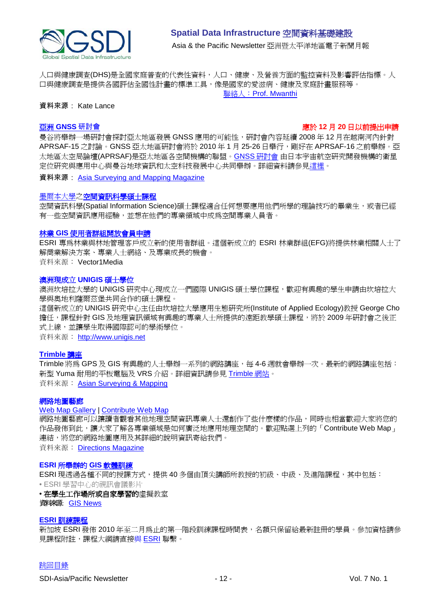

人口與健康調查(DHS)是全國家庭普查的代表性資料,人口、健康、及營養方面的監控資料及影響評估指標。人 口與健康調查是提供各國評估全國性計畫的標準工具,像是國家的愛滋病、健康及家庭計畫服務等。 聯絡人:[Prof. Mwanthi](mailto:mmwanthi@uonbi.ac.ke)

#### 資料來源: Kate Lance

#### 亞洲 **[GNSS](http://www.asmmag.com/news/workshop-for-asian-gnss)** 研討會 應於 **12** 月 **20** 日以前提出申請

曼谷將舉辦一場研討會探討亞太地區發展 GNSS 應用的可能性,研討會內容延續 2008 年 12 月在越南河內針對 APRSAF-15 之討論。GNSS 亞太地區研討會將於 2010 年 1 月 25-26 日舉行,剛好在 APRSAF-16 之前舉辦。亞 太地區太空局論壇(APRSAF)是亞太地區各空間機構的聯盟。GNSS [研討會](http://www.multignss.asia/pdf/Invitation_Letter_Multi-GNSS_Workshop(WEB).pdf) 由日本宇宙航空研究開發機構的衛星 定位研究與應用中心與曼谷地球資訊和太空科技發展中心共同舉辦。詳細資料請參[見這裡。](http://www.multignss.asia/pdf/Invitation_Letter_Multi-GNSS_Workshop(WEB).pdf)

資料來源: [Asia Surveying and Mapping Magazine](http://au.mg2.mail.yahoo.com/dc/launch?.gx=1&.rand=18q4rthesepum)

#### 黑爾本大學之[空間資訊科學碩士課程](http://www.eng.unimelb.edu.au/Postgrad/MEng/grad_msis.html)

空間資訊科學(Spatial Information Science)碩士課程適合任何想要應用他們所學的理論技巧的畢業生,或者已經 有一些空間資訊應用經驗,並想在他們的專業領域中成為空間專業人員者。

#### 林業 **GIS** [使用者群組開放會員申請](http://www.vector1media.com/news/top-stories/53-corporate-news/8187-forestry-gis-user-group-opens-for-membership)

ESRI 專為林業與林地管理客戶成立新的使用者群組。這個新成立的 ESRI 林業群組(EFG)將提供林業相關人士了 解商業解決方案、專業人士網絡、及專業成長的機會。

資料來源: Vector1Media

#### 澳洲現成立 **UNIGIS** 碩士學位

澳洲坎培拉大學的 UNIGIS 研究中心現成立一們國際 UNIGIS 碩士學位課程,歡迎有興趣的學生申請由坎培拉大 學與奧地利薩爾茲堡共同合作的碩士課程。

這個新成立的 UNIGIS 研究中心主任由坎培拉大學應用生態研究所(Institute of Applied Ecology)教授 George Cho 擔任,課程針對 GIS 及地理資訊領域有興趣的專業人士所提供的遠距教學碩士課程,將於 2009 年研討會之後正 式上線,並讓學生取得國際認可的學術學位。

資料來源: [http://www.unigis.net](http://www.unigis.net/)

#### **[Trimble](http://www.trimble.com/mgis/webinars.shtml)** 講座

Trimble 將為 GPS 及 GIS 有興趣的人十舉辦一系列的網路講座,每 4-6 调就會舉辦一次。最新的網路講座包括: 新型 Yuma 耐用的平板電腦及 VRS 介紹。詳細資訊請參見 [Trimble](http://www.trimble.com/mgis/webinars.shtml) 網站。 資料來源: [Asian Surveying & Mapping](http://www.asmmag.com/news)

#### 網路地圖藝廊

#### [Web Map Gallery](http://www.directionsmag.com/webmapgallery/) | [Contribute Web Map](http://www.directionsmag.com/webmapgallery/?duty=Contribute)

網路地圖藝廊可以讓讀者觀看其他地理空間資訊專業人士還創作了些什麼樣的作品,同時也相當歡迎大家將您的 作品發佈到此,讓大家了解各專業領域是如何廣泛地應用地理空間的。歡迎點選上列的「Contribute Web Map」 連結,將您的網路地圖應用及其詳細的說明資訊寄給我們。

資料來源: [Directions Magazine](http://www.directionsmag.com/webmapgallery/)

#### **ESRI** [所舉辦的](http://training.esri.com/gateway/index.cfm?fa=trainingOptions.gateway) **GIS** 軟體訓練

ESRI 現透過各種不同的授課方式,提供 40 多個由頂尖講師所教授的初級、中級、及進階課程,其中包括: • ESRI 學習中心的視訊會議影片

#### • 在學生工作場所或自家學習的虛擬教室

資料來源: **GIS News** 

#### **ESRI** [訓練課程](http://www.esrisingapore.com.sg/training.html)

新加坡 ESRI 發佈 2010 年至二月為止的第一階段訓練課程時間表,名額只保留給最新註冊的學員。參加資格請參 見課程附註,課程大綱請直接與 [ESRI](mailto:training@esrisa.com) 聯繫。

#### [跳回目錄](#page-0-0)

SDI-Asia/Pacific Newsletter  $\overline{12} - 12 - 12$  - Vol. 7 No. 1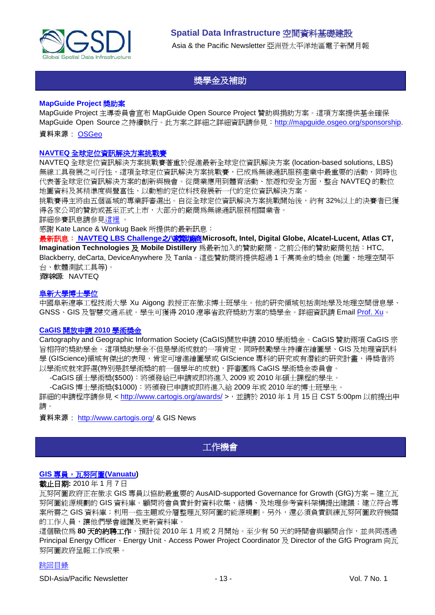

# 獎學金及補助

#### <span id="page-12-0"></span>**MapGuide Project** 獎助案

MapGuide Project 主導委員會宣布 MapGuide Open Source Project 贊助與捐助方案。這項方案提供基金確保 MapGuide Open Source 之持續執行。此方案之詳細之詳細資訊請參見:[http://mapguide.osgeo.org/sponsorship.](http://mapguide.osgeo.org/sponsorship)

#### 資料來源: [OSGeo](http://www.osgeo.org/node/978)

#### **NAVTEQ** [全球定位資訊解決方案挑戰賽](http://developer.navteq.com/site/global/market/lbs_challenge/p_lbs_home.jsp)

NAVTEQ 全球定位資訊解決方案挑戰賽著重於促進最新全球定位資訊解決方案 (location-based solutions, LBS) 無線工具發展之可行性,這項全球定位資訊解決方案挑戰賽,已成為無線通訊服務產業中最重要的活動,同時也 代表著全球定位資訊解決方案的創新與機會。從商業應用到體育活動、旅遊和安全方面,整合 NAVTEQ 的數位 地圖資料及其精準度與豐富性,以動態的定位科技發展新一代的定位資訊解決方案。

挑戰賽得主將由五個區域的專業評審選出。自從全球定位資訊解決方案挑戰開始後,約有 32%以上的決賽者已獲 得各家公司的贊助或甚至正式上市,大部分的廠商為無線通訊服務相關業者。

詳細參賽訊息請參[見這裡](http://developer.navteq.com/site/global/market/lbs_challenge/p_lbs_home.jsp) 。

感謝 Kate Lance & Wonkug Baek 所提供的最新訊息:

最新訊息: [NAVTEQ LBS Challenge](http://corporate.navteq.com/webapps/NewsUserServlet?action=NewsDetail&newsId=824&lang=en&englishonly=false)之八家贊助廠商Microsoft, Intel, Digital Globe, Alcatel-Lucent, Atlas CT, **Imagination Technologies** 及 **Mobile Distillery** 為最新加入的贊助廠商。之前公佈的贊助廠商包括:HTC, Blackberry, deCarta, DeviceAnywhere 及 Tanla。這些贊助商將提供超過 1 千萬美金的獎金 (地圖、地理空間平 台、軟體測試工具等)。

資料來源: NAVTEQ

#### 阜新大學博士學位

中國阜新遼寧工程技術大學 Xu Aigong 教授正在徵求博士班學生。他的研究領域包括測地學及地理空間信息學、 GNSS、GIS 及智慧交通系統。學生可獲得 2010 遼寧省政府獎助方案的獎學金。詳細資訊請 Email [Prof. Xu](mailto:%22xu_ag@126.com%22)。

#### **CaGIS** [開放申請](http://www.gisdevelopment.net/news/viewn.asp?id=GIS:N_jskaxqdmve) **2010** 學術獎金

Cartography and Geographic Information Society (CaGIS)開放申請 2010 學術獎金。CaGIS 贊助兩項 CaGIS 宗 旨相符的獎助學金。這項獎助學金不但是學術成就的一項肯定,同時鼓勵學生持續在繪圖學、GIS 及地理資訊科 學 (GIScience)領域有傑出的表現,肯定可增進繪圖學或 GIScience 專科的研究或有潛能的研究計畫,得獎者將 以學術成就來評選(特別是該學術獎的前一個學年的成就),評審團為 CaGIS 學術獎金委員會。

-CaGIS 碩士學術獎(\$500):將頒發給已申請或即將進入 2009 或 2010 年碩士課程的學生。

-CaGIS 博士學術獎(\$1000):將頒發已申請或即將進入給 2009 年或 2010 年的博士班學生。

詳細的申請程序請參見 <<http://www.cartogis.org/awards/> >, 並請於 2010 年 1 月 15 日 CST 5:00pm 以前提出申 請。

<span id="page-12-1"></span>資料來源: [http://www.cartogis.org/](http://www.cartogis.org/awards/cagis-scholarships/scholarship) & GIS News

# 工作機會

### **GIS 專員, 瓦努阿圖(Vanuatu)**

#### 截止日期**:** 2010 年 1 月 7 日

瓦努阿圖政府正在徵求 GIS 專員以協助最重要的 AusAID-supported Governance for Growth (GfG)方案 – 建立瓦 努阿圖能源規劃的 GIS 資料庫。顧問將會負責針對資料收集、結構、及地理參考資料架構提出建議;建立符合專 案所需之 GIS 資料庫;利用一些主題或分層整理瓦努阿圖的能源規劃。另外,還必須負責訓練瓦努阿圖政府機關 的工作人員,讓他們學會維護及更新資料庫。

這個職位為 80 天的約聘工作,預計從 2010 年 1 月或 2 月開始。至少有 50 天的時間會與顧問合作,並共同透過 Principal Energy Officer、Energy Unit、Access Power Project Coordinator 及 Director of the GfG Program 向瓦 努阿圖政府呈報工作成果。

### [跳回目錄](#page-0-0)

SDI-Asia/Pacific Newsletter  $\overline{ }$  13 - Vol. 7 No. 1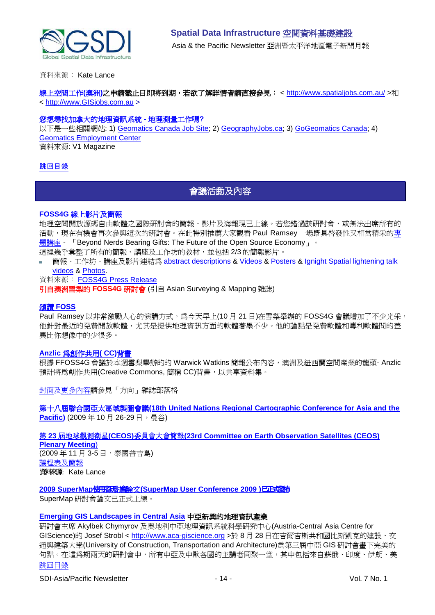

資料來源: Kate Lance

線上空間工作(澳洲)之申請截止日即將到期,若欲了解詳情者請直接參見: <<http://www.spatialjobs.com.au/>>和 < [http://www.GISjobs.com.au](http://www.gisjobs.com.au/) >

#### 您想尋找加拿大的地理資訊系統 **-** 地理測量工作嗎**?**

以下是一些相關網站: 1) [Geomatics Canada Job Site;](http://geomaticscanada.com/jobs.cfm) 2) [GeographyJobs.ca;](http://www.geographyjobs.ca/) 3) [GoGeomatics Canada;](http://canada.gogeomatics.net/frmHome.aspx) 4) [Geomatics Employment Center](http://gisjobs.ca/) 資料來源: V1 Magazine

### <span id="page-13-0"></span>[跳回目錄](#page-0-0)

# 會議活動及內容

#### **FOSS4G** 線上影片及簡報

地理空間開放源碼自由軟體之國際研討會的簡報、影片及海報現已上線。若您錯過該研討會,或無法出席所有的 活動,現在有機會再次參與這次的研討會。在此特別推薦大家觀看 Paul Ramsey 一場既具啓發性又相當精采[的專](http://2009.foss4g.org/speakers/#Paul_Ramsey) [題講座](http://2009.foss4g.org/speakers/#Paul_Ramsey) - 「Beyond Nerds Bearing Gifts: The Future of the Open Source Economy」。 這裡幾乎彙整了所有的簡報、講座及工作坊的教材,並包括 2/3 的簡報影片。

簡報、工作坊、講座及影片連結為 [abstract descriptions](http://2009.foss4g.org/schedule/) & [Videos](http://blip.tv/search?q=fosslc) & [Posters](http://wiki.osgeo.org/wiki/FOSS4G_2009_Posters) & Ignight Spatial lightening talk [videos](http://www.ignitespatial.com/?page_id=181) & [Photos.](http://www.flickr.com/photos/tags/foss4g2009/)

#### 資料來源: [FOSS4G Press Release](http://wiki.osgeo.org/wiki/FOSS4G_2009_Press_Release_41)

引自澳洲雪梨的 **FOSS4G** 研討會 (引自 Asian Surveying & Mapping 雜誌)

#### 頌讚 **[FOSS](http://www.asmmag.com/news/in-praise-of-foss)**

Paul Ramsey 以非常激勵人心的演講方式,為今天早上(10月21日)在雪梨舉辦的FOSS4G會議增加了不少光采, 他針對最近的免費開放軟體,尤其是提供地理資訊方面的軟體著墨不少。他的論點是免費軟體和專利軟體間的差 異比你想像中的少很多。

#### **Anzlic** [為創作共用](http://www.asmmag.com/news/anzlic-to-endorse-cc)**( CC)**背書

根據 FFOSS4G 會議於本週雪梨舉辦的的 Warwick Watkins 簡報公布內容,澳洲及紐西蘭空間產業的龍頭- Anzlic 預計將為創作共用(Creative Commons, 簡稱 CC)背書,以共享資料集。

[封面及](http://apb.directionsmag.com/archives/6687-FOSS4G-Coverage-II.html)[更多內容請](http://www.directionsmag.com/article.php?article_id=3314)參見「方向」雜誌部落格

第十八屆聯合國亞太區域製圖會議**[\(18th United Nations Regional Cartographic Conference for Asia and the](http://unstats.un.org/unsd/methods/cartog/Asia_and_Pacific/18/18th-UNRCC-AP-Docs.htm)**  [Pacific\)](http://unstats.un.org/unsd/methods/cartog/Asia_and_Pacific/18/18th-UNRCC-AP-Docs.htm) (2009年10月26-29日,曼谷)

第 **23** 屆地球觀測衛星**(CEOS)**委員會大會簡報**[\(23rd Committee on Earth Observation Satellites \(CEOS\)](http://conference.gistda.or.th/ceos2009/)** 

**[Plenary Meeting](http://conference.gistda.or.th/ceos2009/)**) (2009 年 11 月 3-5 日,泰國普吉島) [議程表及簡報](http://www.symbioscomms.com/ceos2009/ceos23agenda.html) 資料來源: Kate Lance

**2009 SuperMap**使用者研討會論文**[\(SuperMap User Conference 2009 \)](http://www.supermap.com/events/SGC2009/index.asp)**已正式發怖

SuperMap 研討會論文已正式上線。

#### **[Emerging GIS Landscapes in Central Asia](http://vector1media.com/events/event-coverage/8841-emerging-gis-landscapes-in-central-asia)** 中亞新興的地理資訊產業

[跳回目錄](#page-0-0) 研討會主席 Akylbek Chymyrov 及奧地利中亞地理資訊系統科學研究中心(Austria-Central Asia Centre for GIScience)的 Josef Strobl < [http://www.aca-giscience.org](http://www.aca-giscience.org/) >於 8 月 28 日在吉爾吉斯共和國比斯凱克的建設、交 通與建築大學(University of Construction, Transportation and Architecture)為第三屆中亞 GIS 研討會畫下完美的 句點。在這為期兩天的研討會中,所有中亞及中歐各國的主講者同聚一堂,其中包括來自蘇俄、印度、伊朗、美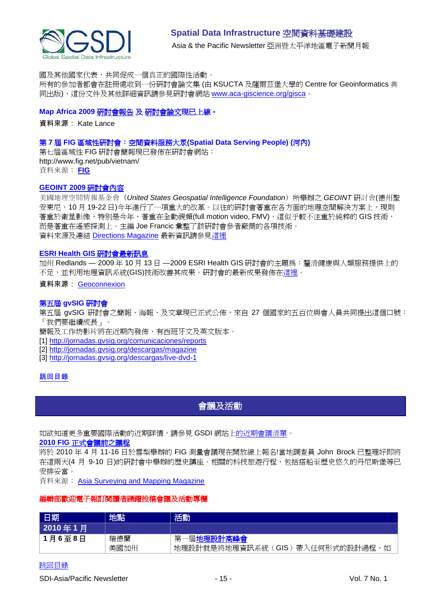

國及其他國家代表,共同促成一個真正的國際性活動。

所有的參加者都會在註冊處收到一份研討會論文集 (由 KSUCTA 及薩爾茲堡大學的 Centre for Geoinformatics 共 同出版),這份文件及其他詳細資訊請參見研討會網站 [www.aca-giscience.org/gisca](http://www.aca-giscience.org/gisca)。

#### **Map Africa 2009** [研討會報告](http://www.gisdevelopment.net/magazine/global/2009/October/50.htm) 及 [研討會論文現](http://mapafrica.gisdevelopment.net/2009/proceeding/index.htm)已上線。

資料來源: Kate Lance

#### 第 **7** 屆 **FIG** 區域性研討會:空間資料服務大眾**(Spatial Data Serving People) (**河內**)**

第七屆區域性 FIG 研討會簡報現已發佈在研討會網站: http://www.fig.net/pub/vietnam/ 資料來源: **[FIG](http://www.fig.net/pub/vietnam/)**

#### **GEOINT 2009** 研討會內容

美國地理空間情報基金會(*United States Geospatial Intelligence Foundation*)所舉辦之 *GEOINT* 研討會(德州聖 安東尼,10月 19-22 日)今年進行了一項重大的改革。以往的研討會著重在各方面的地理空間解決方案上,現則 著重於衛星影像,特別是今年,著重在全動視頻(full motion video, FMV),這似乎較不注重於純粹的 GIS 技術, 而是著重在遙感探測上。主編 Joe Francic 彙整了該研討會參者廠商的各項技術。 資料來源及連結 [Directions Magazine](http://www.directionsmedia.net/newsletters.archive/index.php?ID=1516) 最新資訊請參[見這裡](http://www.directionsmag.com/article.php?article_id=3319)

#### **ESRI Health GIS** 研討會最新訊息

加州 Redlands — 2009 年 10 月 13 日 —2009 ESRI Health GIS 研討會的主題爲: 釐清健康與人類服務提供上的 不足,並利用地理資訊系統(GIS)技術改善其成果。研討會的最新成果發佈[在這裡。](http://www.geoconnexion.com/geo_news_article/ESRI-Health-GIS-Conference-Update/6769)

#### 資料來源: [Geoconnexion](http://www.geoconnexion.com/geo_news_article/ESRI-Health-GIS-Conference-Update/6769)

### 第五屆 **gvSIG** 研討會

第五屆 gvSIG 研討會之簡報、海報、及文章現已正式公佈,來自 27 個國家的五百位與會人員共同提出這個口號: 「我們要繼續成長」。

簡報及工作坊影片將在近期內發佈,有西班牙文及英文版本。

[1] [http://jornadas.gvsig.org/comunicaciones/reports](https://owa.unimelb.edu.au/exchweb/bin/redir.asp?URL=http://jornadas.gvsig.org/comunicaciones/reports)

[2] [http://jornadas.gvsig.org/descargas/magazine](https://owa.unimelb.edu.au/exchweb/bin/redir.asp?URL=http://jornadas.gvsig.org/descargas/magazine)

[3] [http://jornadas.gvsig.org/descargas/live-dvd-1](https://owa.unimelb.edu.au/exchweb/bin/redir.asp?URL=http://jornadas.gvsig.org/descargas/live-dvd-1)

### <span id="page-14-0"></span>[跳回目錄](#page-0-0)

會議及活動

如欲知道更多重要國際活動的近期詳情,請參見 GSDI 網站[上的近期會議清單。](http://gsdi.org/events/upcnf.asp)

#### **2010 FIG** [正式會議前之議程](http://www.asmmag.com/news/fig-2010-pre-congress-program)

將於 2010 年 4 月 11-16 日於雪梨舉辦的 FIG 測量會議現在開放線上報名!當地調查員 John Brock 已整理好即將 在這兩天(4 月 9-10 日)的研討會中舉辦的歷史講座。相關的科技旅遊行程,包括搭船至歷史悠久的丹尼斯堡等已 安排妥當。

資料來源: **[Asia Surveying and Mapping Magazine](http://www.asmmag.com/news/fig-2010-pre-congress-program)** 

#### 編輯部歡迎電子報訂閱讀者踴躍投稿會議及活動專欄

| 日期      | 地點   | 活動                                 |
|---------|------|------------------------------------|
| 2010年1月 |      |                                    |
| 1月6至8日  | 瑞德蘭  | 屈地理設計高峰會<br>第                      |
|         | 美國加州 | 地理設計就是將地理資訊系統(GIS)帶入任何形式的設計過程<br>如 |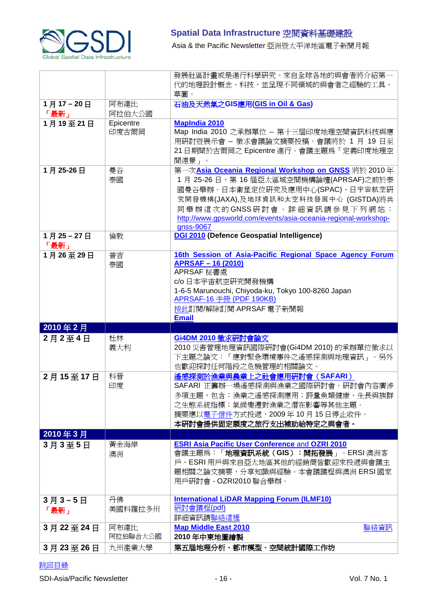

Asia & the Pacific Newsletter 亞洲暨太平洋地區電子新聞月報

|          |                  | 發展社區計畫或是進行科學研究。來自全球各地的與會者將介紹第一<br>代的地理設計概念、科技,並呈現不同領域的與會者之經驗的工具、<br>草圖。 |
|----------|------------------|-------------------------------------------------------------------------|
| 1月17-20日 | 阿布達比             | 石油及天然氣之GIS應用(GIS in Oil & Gas)                                          |
| 「最新」     | 阿拉伯大公國           |                                                                         |
| 1月19至21日 | Epicentre        | <b>MapIndia 2010</b>                                                    |
|          | 印度古爾岡            | Map India 2010 之承辦單位 - 第十三屆印度地理空間資訊科技與應                                 |
|          |                  | 用研討暨展示會 - 徵求會議論文摘要投稿。會議將於 1 月 19 日至                                     |
|          |                  | 21日期間於古爾岡之 Epicentre 進行。會議主題爲「定義印度地理空                                   |
|          |                  | 間遠景」。                                                                   |
| 1月25-26日 | 曼谷               | 第一次Asia Oceania Regional Workshop on GNSS 將於 2010年                      |
|          | 泰國               | 1月 25-26日, 第 16 屆亞太區域空間機構論壇(APRSAF)之前於泰                                 |
|          |                  | 國曼谷舉辦。日本衛星定位研究及應用中心(SPAC)、日宇宙航空研                                        |
|          |                  | 究開發機構(JAXA),及地球資訊和太空科技發展中心 (GISTDA)將共                                   |
|          |                  | 同舉辦這次的GNSS研討會。詳細資訊請參見下列網站:                                              |
|          |                  | http://www.gpsworld.com/events/asia-oceania-regional-workshop-          |
|          |                  | gnss-9067                                                               |
| 1月25-27日 | 倫敦               | DGI 2010 (Defence Geospatial Intelligence)                              |
| 「最新」     |                  |                                                                         |
| 1月26至29日 | 普吉               | 16th Session of Asia-Pacific Regional Space Agency Forum                |
|          | 泰國               | <b>APRSAF - 16 (2010)</b>                                               |
|          |                  | APRSAF 秘書處                                                              |
|          |                  | c/o 日本宇宙航空研究開發機構<br>1-6-5 Marunouchi, Chiyoda-ku, Tokyo 100-8260 Japan  |
|          |                  | APRSAF-16 手冊 (PDF 190KB)                                                |
|          |                  | 按此訂閱/解除訂閱 APRSAF 電子新聞報                                                  |
|          |                  |                                                                         |
|          |                  |                                                                         |
| 2010年2月  |                  | <b>Email</b>                                                            |
| 2月2至4日   | 杜林               | Gi4DM 2010 徵求研討會論文                                                      |
|          | 義大利              | 2010 災害管理地理資訊國際研討會(Gi4DM 2010) 的承辦單位徵求以                                 |
|          |                  | 下主題之論文:「應對緊急環境事件之遙感探測與地理資訊」。另外                                          |
|          |                  | 也歡迎探討任何階段之危機管理的相關論文。                                                    |
| 2月15至17日 | 科晉               | 遙感探測於漁業與農業上之社會應用研討會 (SAFARI)                                            |
|          | 印度               | SAFARI 正籌辦一場遙感探測與漁業之國際研討會。研討會內容廣涉                                       |
|          |                  | 多項主題,包含:漁業之遙感探測應用;評量魚類健康、生長與族群                                          |
|          |                  | 之生態系統指標;氣候變遷對漁業之潛在影響等其他主題。                                              |
|          |                  | 摘要應以電子信件方式投遞,2009年10月15日停止收件。                                           |
|          |                  | 本研討會提供固定額度之旅行支出補助給特定之與會者。                                               |
| 2010年3月  |                  |                                                                         |
| 3月3至5日   | 黃金海岸             | <b>ESRI Asia Pacific User Conference and OZRI 2010</b>                  |
|          | 澳洲               | 會議主題為:「地理資訊系統(GIS):開拓發展」。ERSI澳洲客                                        |
|          |                  | 戶、ESRI用戶與來自亞太地區其他的經銷商皆歡迎來投遞與會議主                                         |
|          |                  | 題相關之論文摘要,分享知識與經驗。本會議議程與澳洲 ERSI 國家                                       |
|          |                  | 用戶硏討會 - OZRI2010 聯合舉辦。                                                  |
|          |                  |                                                                         |
| 3月3-5日   | 丹佛               | <b>International LiDAR Mapping Forum (ILMF10)</b>                       |
| 「最新」     | 美國科羅拉多州          | 研討會議程(pdf)                                                              |
|          |                  | 詳細資訊請聯絡這裡<br><b>Map Middle East 2010</b>                                |
| 3月22至24日 | 阿布達比<br>阿拉伯聯合大公國 | 聯絡資訊<br>2010年中東地圖繪製                                                     |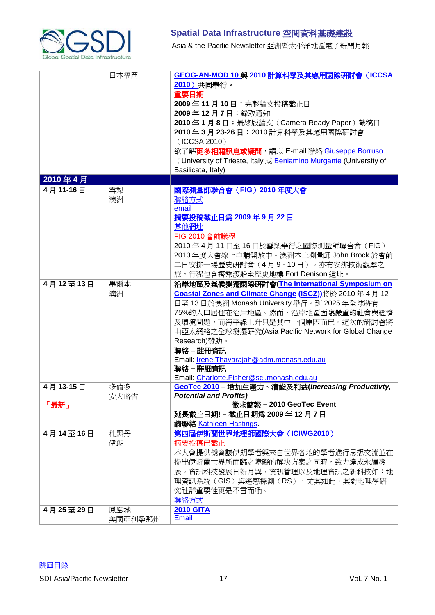

# **Spatial Data Infrastructure** 空間資料基礎建設 Asia & the Pacific Newsletter 亞洲暨太平洋地區電子新聞月報

|                      | 日本福岡                  | <b>GEOG-AN-MOD 10 與 2010 計算科學及其應用國際研討會 (ICCSA</b><br>2010) 共同舉行。<br>重要日期<br>2009年11月10日:完整論文投稿截止日<br>2009年12月7日:錄取通知<br>2010年1月8日: 最終版論文 (Camera Ready Paper)截稿日<br>2010年3月23-26日: 2010計算科學及其應用國際研討會<br>(ICCSA 2010)<br>欲了解更多相關訊息或疑問,請以 E-mail 聯絡 Giuseppe Borruso<br>(University of Trieste, Italy 或 Beniamino Murgante (University of<br>Basilicata, Italy)                                                                                                                                                                                                                                                |
|----------------------|-----------------------|--------------------------------------------------------------------------------------------------------------------------------------------------------------------------------------------------------------------------------------------------------------------------------------------------------------------------------------------------------------------------------------------------------------------------------------------------------------------------------------------------------------------------------------------------------------------------------------------------------------|
| 2010年4月              |                       |                                                                                                                                                                                                                                                                                                                                                                                                                                                                                                                                                                                                              |
| 4月11-16日<br>4月12至13日 | 雪梨<br>澳洲<br>墨爾本<br>澳洲 | 國際測量師聯合會 (FIG) 2010年度大會<br>聯絡方式<br>email<br>摘要投稿截止日爲 2009年9月22日<br>其他網址<br>FIG 2010 會前議程<br>2010年4月11日至16日於雪梨舉行之國際測量師聯合會 (FIG)<br>2010年度大會線上申請開放中。澳洲本土測量師 John Brock 於會前<br>二日安排一場歷史研討會(4月9-10日)。亦有安排技術觀摩之<br>旅,行程包含搭乘渡船至歷史地標 Fort Denison 遺址。<br>沿岸地區及氣候變遷國際研討會(The International Symposium on<br>Coastal Zones and Climate Change (ISCZ))將於 2010年4月12<br>日至 13 日於澳洲 Monash University 舉行。到 2025年全球將有<br>75%的人口居住在沿岸地區。然而,沿岸地區面臨嚴重的社會與經濟<br>及環境問題,而海平線上升只是其中一個原因而已。這次的研討會將<br>由亞太網絡之全球變遷硏究(Asia Pacific Network for Global Change<br>Research)贊助。<br>聯絡-註冊資訊<br>Email: Irene. Thavarajah@adm. monash.edu.au |
|                      |                       | 聯絡 - 詳細資訊                                                                                                                                                                                                                                                                                                                                                                                                                                                                                                                                                                                                    |
|                      |                       | Email: Charlotte.Fisher@sci.monash.edu.au                                                                                                                                                                                                                                                                                                                                                                                                                                                                                                                                                                    |
| 4月13-15日<br>「最新」     | 多倫多<br>安大略省           | GeoTec 2010 - 增加生產力、潛能及利益(Increasing Productivty,<br><b>Potential and Profits)</b><br>徵求簡報 - 2010 GeoTec Event<br>延長截止日期! - 截止日期爲 2009年12月7日<br>請聯絡 Kathleen Hastings.                                                                                                                                                                                                                                                                                                                                                                                                                                       |
| 4月14至16日             | 札黑丹<br>伊朗             | 第四屆伊斯蘭世界地理師國際大會 (ICIWG2010)<br>摘要投稿已截止<br>本大會提供機會讓伊朗學者與來自世界各地的學者進行思想交流並在<br>提出伊斯蘭世界所面臨之障礙的解決方案之同時,致力達成永續發<br>展。資訊科技發展日新月異,資訊管理以及地理資訊之新科技如:地<br>理資訊系統(GIS)與遙感探測(RS),尤其如此,其對地理學研<br>究社群重要性更是不言而喻。<br>聯絡方式                                                                                                                                                                                                                                                                                                                                                                                                      |
| 4月25至29日             | 鳳凰城<br>美國亞利桑那州        | <b>2010 GITA</b><br>Email                                                                                                                                                                                                                                                                                                                                                                                                                                                                                                                                                                                    |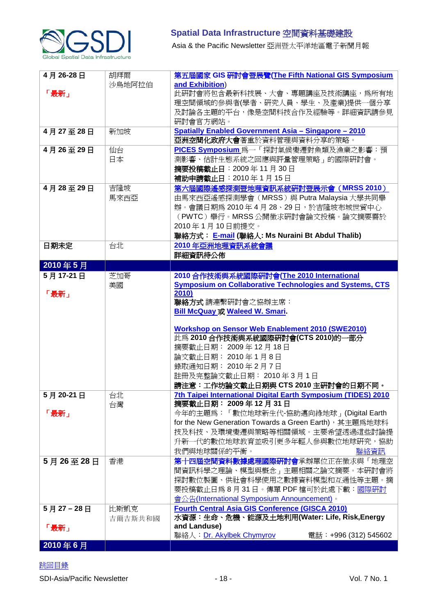

Asia & the Pacific Newsletter 亞洲暨太平洋地區電子新聞月報

| 4月26-28日 | 胡拜爾     | 第五屆國家 GIS 研討會暨展覽(The Fifth National GIS Symposium               |
|----------|---------|-----------------------------------------------------------------|
|          | 沙烏地阿拉伯  | and Exhibition)                                                 |
| 「最新」     |         | 此研討會將包含最新科技展、大會、專題講座及技術講座,為所有地                                  |
|          |         | 理空間領域的參與者(學者、硏究人員、學生、及產業)提供一個分享                                 |
|          |         | 及討論各主題的平台,像是空間科技合作及經驗等。詳細資訊請參見                                  |
|          |         | 研討會官方網站。                                                        |
| 4月27至28日 | 新加坡     | <b>Spatially Enabled Government Asia - Singapore - 2010</b>     |
|          |         | <b>亞洲空間化政府大會</b> 著重於資料管理與資料分享的策略。                               |
| 4月26至29日 | 仙台      | PICES Symposium 為一「探討氣候變遷對魚類及漁業之影響:預                            |
|          | 日本      | 測影響、估計生態系統之回應與評量管理策略」的國際研討會。                                    |
|          |         | 摘要投稿截止日: 2009年11月30日                                            |
|          |         | 補助申請截止日: 2010年1月15日                                             |
| 4月28至29日 | 吉隆坡     | 第六屆國際遙感探測暨地理資訊系統研討暨展示會 (MRSS 2010)                              |
|          |         | 由馬來西亞遙感探測學會 (MRSS) 與 Putra Malaysia 大學共同舉                       |
|          | 馬來西亞    | 辦。會議日期爲 2010年4月 28、29日,於吉隆坡布城世貿中心                               |
|          |         |                                                                 |
|          |         | (PWTC) 舉行。MRSS 公開徵求硏討會論文投稿。論文摘要需於                               |
|          |         | 2010年1月10日前提交。                                                  |
|          |         | 聯絡方式: E-mail (聯絡人: Ms Nuraini Bt Abdul Thalib)                  |
| 日期未定     | 台北      | 2010年亞洲地理資訊系統會議                                                 |
|          |         | 詳細資訊待公佈                                                         |
| 2010年5月  |         |                                                                 |
| 5月17-21日 | 芝加哥     | 2010 合作技術與系統國際研討會(The 2010 International                        |
|          | 美國      | <b>Symposium on Collaborative Technologies and Systems, CTS</b> |
| 「最新」     |         | 2010)                                                           |
|          |         | 聯絡方式 請連繫研討會之協辦主席:                                               |
|          |         | <b>Bill McQuay 或 Waleed W. Smari</b> .                          |
|          |         | <b>Workshop on Sensor Web Enablement 2010 (SWE2010)</b>         |
|          |         | 此為 2010 合作技術與系統國際研討會(CTS 2010)的一部分                              |
|          |         | 摘要截止日期: 2009年12月18日                                             |
|          |         | 論文截止日期: 2010年1月8日                                               |
|          |         | 錄取通知日期: 2010年2月7日                                               |
|          |         | 註冊及完整論文截止日期: 2010年3月1日                                          |
|          |         | 請注意:工作坊論文截止日期與 CTS 2010 主研討會的日期不同。                              |
| 5月20-21日 | 台北      | 7th Taipei International Digital Earth Symposium (TIDES) 2010   |
|          | 台灣      | 摘要截止日期: 2009年12月31日                                             |
| 「最新」     |         | 今年的主題爲:「數位地球新生代-協助邁向綠地球」(Digital Earth                          |
|          |         | for the New Generation Towards a Green Earth), 其主題爲地球科          |
|          |         | 技及科技、及環境變遷與策略等相關領域。主要希望透過這些討論提                                  |
|          |         | 升新一代的數位地球教育並吸引更多年輕人參與數位地球研究,協助                                  |
|          |         | 我們與地球關係的平衡。<br>聯絡資訊                                             |
| 5月26至28日 | 香港      | 第十四屆空間資料數據處理國際研討會承辦單位正在徵求與「地理空                                  |
|          |         | 間資訊科學之理論、模型與概念」主題相關之論文摘要。本研討會將                                  |
|          |         | 探討數位製圖、供社會科學使用之數據資料模型和互通性等主題。摘                                  |
|          |         | 要投稿截止日爲8月31日。傳單 PDF 檔可於此處下載:國際研討                                |
|          |         | 會公告(International Symposium Announcement)。                      |
|          |         | <b>Fourth Central Asia GIS Conference (GISCA 2010)</b>          |
| 5月27-28日 | 比斯凱克    | 水資源:生命、危機、能源及土地利用(Water: Life, Risk,Energy                      |
|          | 吉爾吉斯共和國 | and Landuse)                                                    |
| 「最新」     |         | 聯絡人: Dr. Akylbek Chymyrov<br>電話:+996 (312) 545602               |
| 2010年6月  |         |                                                                 |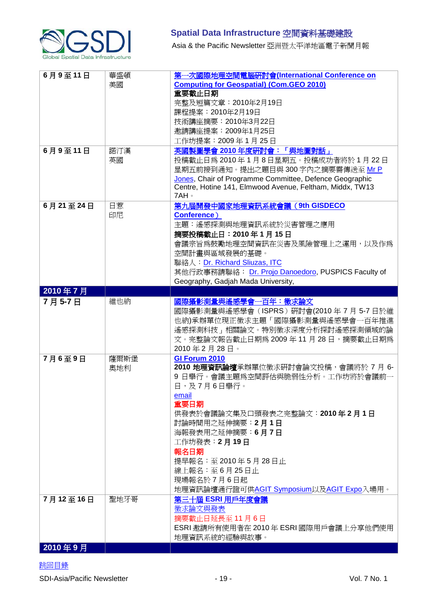

Asia & the Pacific Newsletter 亞洲暨太平洋地區電子新聞月報

| 6月9至11日<br>6月9至11日 | 華盛頓<br>美國<br>諾汀漢 | 第一次國際地理空間電腦研討會(International Conference on<br><b>Computing for Geospatial) (Com.GEO 2010)</b><br>重要截止日期<br>完整及短篇文章: 2010年2月19日<br>課程提案: 2010年2月19日<br>技術講座摘要: 2010年3月22日<br>邀請講座提案: 2009年1月25日<br>工作坊提案: 2009年1月25日<br>英國製圖學會 2010年度研討會:「與地圖對話」                                                                         |
|--------------------|------------------|-------------------------------------------------------------------------------------------------------------------------------------------------------------------------------------------------------------------------------------------------------------------------------------------------------------------------|
|                    | 英國               | 投稿截止日爲2010年1月8日星期五。投稿成功者將於1月22日<br>星期五前接到通知。提出之題目與 300 字內之摘要需傳送至 Mr P<br>Jones, Chair of Programme Committee, Defence Geographic<br>Centre, Hotine 141, Elmwood Avenue, Feltham, Middx, TW13<br>7AH 。                                                                                                                   |
| 6月21至24日           | 日惹<br>印尼         | 第九屆開發中國家地理資訊系統會議 (9th GISDECO<br>Conference)<br>主題:遙感探測與地理資訊系統於災害管理之應用<br>摘要投稿截止日: 2010年1月15日<br>會議宗旨爲鼓勵地理空間資訊在災害及風險管理上之運用,以及作爲<br>空間計畫與區域發展的基礎。<br>聯絡人: Dr. Richard Sliuzas, ITC<br>其他行政事務請聯絡: Dr. Projo Danoedoro, PUSPICS Faculty of<br>Geography, Gadjah Mada University,                                           |
| 2010年7月            |                  |                                                                                                                                                                                                                                                                                                                         |
| 7月5-7日             | 維也納              | 國際攝影測量與遙感學會一百年:徵求論文<br>國際攝影測量與遙感學會 (ISPRS) 研討會(2010年7月5-7日於維<br>也納)承辦單位現正徵求主題「國際攝影測量與遙感學會一百年推進<br>遙感探測科技」相關論文。特別徵求深度分析探討遙感探測領域的論<br>文。完整論文報告截止日期為 2009 年 11 月 28 日,摘要截止日期為<br>2010年2月28日。                                                                                                                               |
| 7月6至9日             | 薩爾斯堡<br>奧地利      | GI Forum 2010<br>2010 地理資訊論壇承辦單位徵求硏討會論文投稿,會議將於 7 月 6-<br>9 日舉行。會議主題爲空間評估與脆弱性分析。工作坊將於會議前一<br>日,及7月6日舉行。<br>email<br>重要日期<br>供發表於會議論文集及口頭發表之完整論文: 2010年2月1日<br>討論時間用之延伸摘要:2月1日<br>海報發表用之延伸摘要:6月7日<br>工作坊發表: 2月19日<br>報名日期<br>提早報名: 至2010年5月28日止<br>線上報名:至6月25日止<br>現場報名於7月6日起<br>地理資訊論壇通行證可供AGIT Symposium以及AGIT Expo入場用。 |
| 7月12至16日           | 聖地牙哥             | 第三十屆 ESRI 用戶年度會議<br>徵求論文與發表<br>摘要截止日延長至11月6日<br>ESRI 邀請所有使用者在 2010年 ESRI 國際用戶會議上分享他們使用<br>地理資訊系統的經驗與故事。                                                                                                                                                                                                                 |
| 2010年9月            |                  |                                                                                                                                                                                                                                                                                                                         |